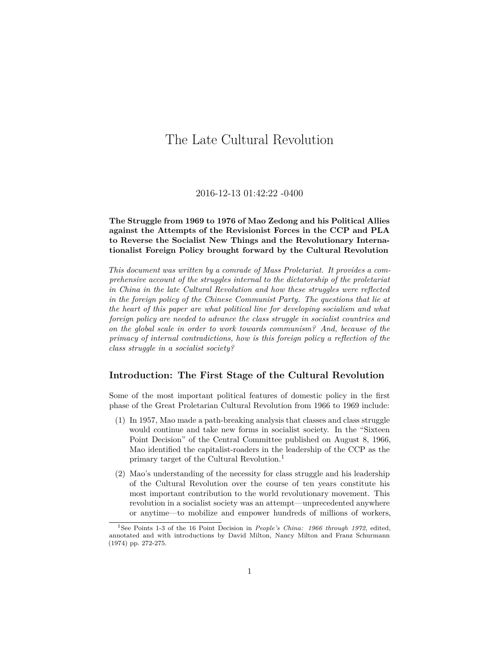# The Late Cultural Revolution

## 2016-12-13 01:42:22 -0400

# **The Struggle from 1969 to 1976 of Mao Zedong and his Political Allies against the Attempts of the Revisionist Forces in the CCP and PLA to Reverse the Socialist New Things and the Revolutionary Internationalist Foreign Policy brought forward by the Cultural Revolution**

*This document was written by a comrade of Mass Proletariat. It provides a comprehensive account of the struggles internal to the dictatorship of the proletariat in China in the late Cultural Revolution and how these struggles were reflected in the foreign policy of the Chinese Communist Party. The questions that lie at the heart of this paper are what political line for developing socialism and what foreign policy are needed to advance the class struggle in socialist countries and on the global scale in order to work towards communism? And, because of the primacy of internal contradictions, how is this foreign policy a reflection of the class struggle in a socialist society?*

# **Introduction: The First Stage of the Cultural Revolution**

Some of the most important political features of domestic policy in the first phase of the Great Proletarian Cultural Revolution from 1966 to 1969 include:

- (1) In 1957, Mao made a path-breaking analysis that classes and class struggle would continue and take new forms in socialist society. In the "Sixteen Point Decision" of the Central Committee published on August 8, 1966, Mao identified the capitalist-roaders in the leadership of the CCP as the primary target of the Cultural Revolution.[1](#page-0-0)
- (2) Mao's understanding of the necessity for class struggle and his leadership of the Cultural Revolution over the course of ten years constitute his most important contribution to the world revolutionary movement. This revolution in a socialist society was an attempt—unprecedented anywhere or anytime—to mobilize and empower hundreds of millions of workers,

<span id="page-0-0"></span><sup>1</sup>See Points 1-3 of the 16 Point Decision in *People's China: 1966 through 1972*, edited, annotated and with introductions by David Milton, Nancy Milton and Franz Schurmann (1974) pp. 272-275.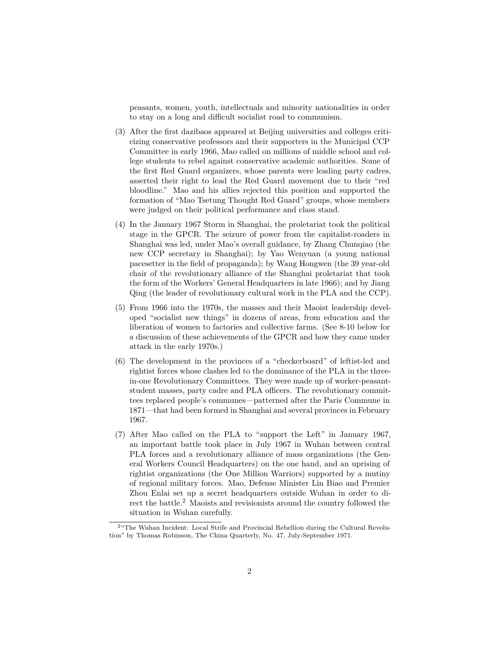peasants, women, youth, intellectuals and minority nationalities in order to stay on a long and difficult socialist road to communism.

- (3) After the first dazibaos appeared at Beijing universities and colleges criticizing conservative professors and their supporters in the Municipal CCP Committee in early 1966, Mao called on millions of middle school and college students to rebel against conservative academic authorities. Some of the first Red Guard organizers, whose parents were leading party cadres, asserted their right to lead the Red Guard movement due to their "red bloodline." Mao and his allies rejected this position and supported the formation of "Mao Tsetung Thought Red Guard" groups, whose members were judged on their political performance and class stand.
- (4) In the January 1967 Storm in Shanghai, the proletariat took the political stage in the GPCR. The seizure of power from the capitalist-roaders in Shanghai was led, under Mao's overall guidance, by Zhang Chunqiao (the new CCP secretary in Shanghai); by Yao Wenyuan (a young national pacesetter in the field of propaganda); by Wang Hongwen (the 39 year-old chair of the revolutionary alliance of the Shanghai proletariat that took the form of the Workers' General Headquarters in late 1966); and by Jiang Qing (the leader of revolutionary cultural work in the PLA and the CCP).
- (5) From 1966 into the 1970s, the masses and their Maoist leadership developed "socialist new things" in dozens of areas, from education and the liberation of women to factories and collective farms. (See 8-10 below for a discussion of these achievements of the GPCR and how they came under attack in the early 1970s.)
- (6) The development in the provinces of a "checkerboard" of leftist-led and rightist forces whose clashes led to the dominance of the PLA in the threein-one Revolutionary Committees. They were made up of worker-peasantstudent masses, party cadre and PLA officers. The revolutionary committees replaced people's communes—patterned after the Paris Commune in 1871—that had been formed in Shanghai and several provinces in February 1967.
- (7) After Mao called on the PLA to "support the Left" in January 1967, an important battle took place in July 1967 in Wuhan between central PLA forces and a revolutionary alliance of mass organizations (the General Workers Council Headquarters) on the one hand, and an uprising of rightist organizations (the One Million Warriors) supported by a mutiny of regional military forces. Mao, Defense Minister Lin Biao and Premier Zhou Enlai set up a secret headquarters outside Wuhan in order to di-rect the battle.<sup>[2](#page-1-0)</sup> Maoists and revisionists around the country followed the situation in Wuhan carefully.

<span id="page-1-0"></span> $^{2}$  The Wuhan Incident: Local Strife and Provincial Rebellion during the Cultural Revolution" by Thomas Robinson, The China Quarterly, No. 47, July-September 1971.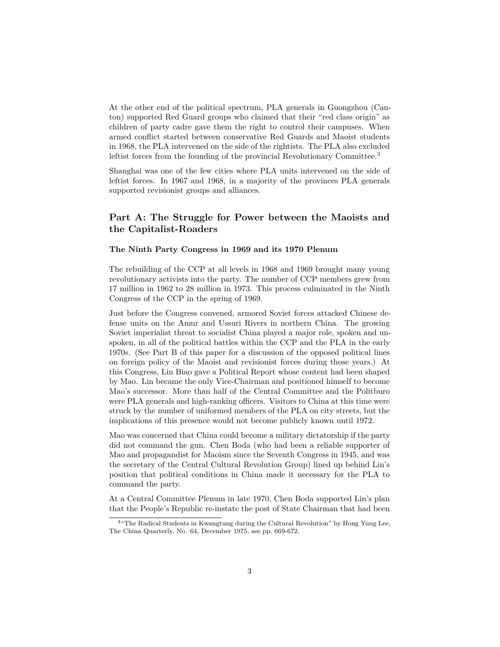At the other end of the political spectrum, PLA generals in Guongzhou (Canton) supported Red Guard groups who claimed that their "red class origin" as children of party cadre gave them the right to control their campuses. When armed conflict started between conservative Red Guards and Maoist students in 1968, the PLA intervened on the side of the rightists. The PLA also excluded leftist forces from the founding of the provincial Revolutionary Committee.<sup>[3](#page-2-0)</sup>

Shanghai was one of the few cities where PLA units intervened on the side of leftist forces. In 1967 and 1968, in a majority of the provinces PLA generals supported revisionist groups and alliances.

# **Part A: The Struggle for Power between the Maoists and the Capitalist-Roaders**

#### **The Ninth Party Congress in 1969 and its 1970 Plenum**

The rebuilding of the CCP at all levels in 1968 and 1969 brought many young revolutionary activists into the party. The number of CCP members grew from 17 million in 1962 to 28 million in 1973. This process culminated in the Ninth Congress of the CCP in the spring of 1969.

Just before the Congress convened, armored Soviet forces attacked Chinese defense units on the Amur and Ussuri Rivers in northern China. The growing Soviet imperialist threat to socialist China played a major role, spoken and unspoken, in all of the political battles within the CCP and the PLA in the early 1970s. (See Part B of this paper for a discussion of the opposed political lines on foreign policy of the Maoist and revisionist forces during those years.) At this Congress, Lin Biao gave a Political Report whose content had been shaped by Mao. Lin became the only Vice-Chairman and positioned himself to become Mao's successor. More than half of the Central Committee and the Politburo were PLA generals and high-ranking officers. Visitors to China at this time were struck by the number of uniformed members of the PLA on city streets, but the implications of this presence would not become publicly known until 1972.

Mao was concerned that China could become a military dictatorship if the party did not command the gun. Chen Boda (who had been a reliable supporter of Mao and propagandist for Maoism since the Seventh Congress in 1945, and was the secretary of the Central Cultural Revolution Group) lined up behind Lin's position that political conditions in China made it necessary for the PLA to command the party.

At a Central Committee Plenum in late 1970, Chen Boda supported Lin's plan that the People's Republic re-instate the post of State Chairman that had been

<span id="page-2-0"></span><sup>3</sup>"The Radical Students in Kwangtung during the Cultural Revolution" by Hong Yung Lee, The China Quarterly, No. 64, December 1975, see pp. 669-672.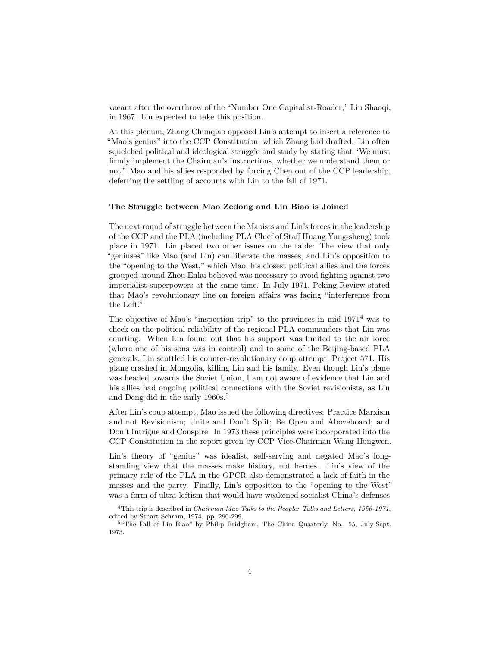vacant after the overthrow of the "Number One Capitalist-Roader," Liu Shaoqi, in 1967. Lin expected to take this position.

At this plenum, Zhang Chunqiao opposed Lin's attempt to insert a reference to "Mao's genius" into the CCP Constitution, which Zhang had drafted. Lin often squelched political and ideological struggle and study by stating that "We must firmly implement the Chairman's instructions, whether we understand them or not." Mao and his allies responded by forcing Chen out of the CCP leadership, deferring the settling of accounts with Lin to the fall of 1971.

#### **The Struggle between Mao Zedong and Lin Biao is Joined**

The next round of struggle between the Maoists and Lin's forces in the leadership of the CCP and the PLA (including PLA Chief of Staff Huang Yung-sheng) took place in 1971. Lin placed two other issues on the table: The view that only "geniuses" like Mao (and Lin) can liberate the masses, and Lin's opposition to the "opening to the West," which Mao, his closest political allies and the forces grouped around Zhou Enlai believed was necessary to avoid fighting against two imperialist superpowers at the same time. In July 1971, Peking Review stated that Mao's revolutionary line on foreign affairs was facing "interference from the Left."

The objective of Mao's "inspection trip" to the provinces in mid-1971[4](#page-3-0) was to check on the political reliability of the regional PLA commanders that Lin was courting. When Lin found out that his support was limited to the air force (where one of his sons was in control) and to some of the Beijing-based PLA generals, Lin scuttled his counter-revolutionary coup attempt, Project 571. His plane crashed in Mongolia, killing Lin and his family. Even though Lin's plane was headed towards the Soviet Union, I am not aware of evidence that Lin and his allies had ongoing political connections with the Soviet revisionists, as Liu and Deng did in the early 1960s.<sup>[5](#page-3-1)</sup>

After Lin's coup attempt, Mao issued the following directives: Practice Marxism and not Revisionism; Unite and Don't Split; Be Open and Aboveboard; and Don't Intrigue and Conspire. In 1973 these principles were incorporated into the CCP Constitution in the report given by CCP Vice-Chairman Wang Hongwen.

Lin's theory of "genius" was idealist, self-serving and negated Mao's longstanding view that the masses make history, not heroes. Lin's view of the primary role of the PLA in the GPCR also demonstrated a lack of faith in the masses and the party. Finally, Lin's opposition to the "opening to the West" was a form of ultra-leftism that would have weakened socialist China's defenses

<span id="page-3-0"></span><sup>4</sup>This trip is described in *Chairman Mao Talks to the People: Talks and Letters, 1956-1971*, edited by Stuart Schram, 1974. pp. 290-299.

<span id="page-3-1"></span><sup>&</sup>lt;sup>5"</sup>The Fall of Lin Biao" by Philip Bridgham, The China Quarterly, No. 55, July-Sept. 1973.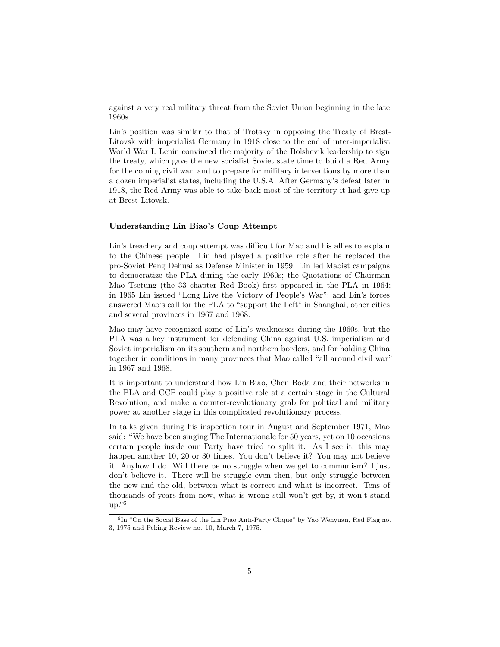against a very real military threat from the Soviet Union beginning in the late 1960s.

Lin's position was similar to that of Trotsky in opposing the Treaty of Brest-Litovsk with imperialist Germany in 1918 close to the end of inter-imperialist World War I. Lenin convinced the majority of the Bolshevik leadership to sign the treaty, which gave the new socialist Soviet state time to build a Red Army for the coming civil war, and to prepare for military interventions by more than a dozen imperialist states, including the U.S.A. After Germany's defeat later in 1918, the Red Army was able to take back most of the territory it had give up at Brest-Litovsk.

#### **Understanding Lin Biao's Coup Attempt**

Lin's treachery and coup attempt was difficult for Mao and his allies to explain to the Chinese people. Lin had played a positive role after he replaced the pro-Soviet Peng Dehuai as Defense Minister in 1959. Lin led Maoist campaigns to democratize the PLA during the early 1960s; the Quotations of Chairman Mao Tsetung (the 33 chapter Red Book) first appeared in the PLA in 1964; in 1965 Lin issued "Long Live the Victory of People's War"; and Lin's forces answered Mao's call for the PLA to "support the Left" in Shanghai, other cities and several provinces in 1967 and 1968.

Mao may have recognized some of Lin's weaknesses during the 1960s, but the PLA was a key instrument for defending China against U.S. imperialism and Soviet imperialism on its southern and northern borders, and for holding China together in conditions in many provinces that Mao called "all around civil war" in 1967 and 1968.

It is important to understand how Lin Biao, Chen Boda and their networks in the PLA and CCP could play a positive role at a certain stage in the Cultural Revolution, and make a counter-revolutionary grab for political and military power at another stage in this complicated revolutionary process.

In talks given during his inspection tour in August and September 1971, Mao said: "We have been singing The Internationale for 50 years, yet on 10 occasions certain people inside our Party have tried to split it. As I see it, this may happen another 10, 20 or 30 times. You don't believe it? You may not believe it. Anyhow I do. Will there be no struggle when we get to communism? I just don't believe it. There will be struggle even then, but only struggle between the new and the old, between what is correct and what is incorrect. Tens of thousands of years from now, what is wrong still won't get by, it won't stand  $up.^{96}$  $up.^{96}$  $up.^{96}$ 

<span id="page-4-0"></span><sup>6</sup> In "On the Social Base of the Lin Piao Anti-Party Clique" by Yao Wenyuan, Red Flag no. 3, 1975 and Peking Review no. 10, March 7, 1975.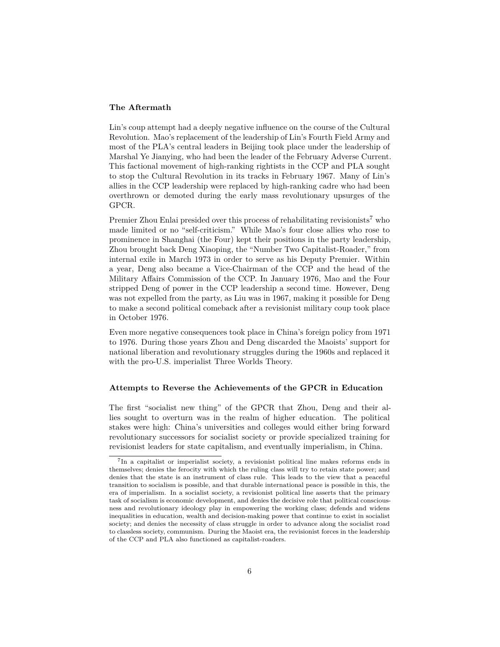#### **The Aftermath**

Lin's coup attempt had a deeply negative influence on the course of the Cultural Revolution. Mao's replacement of the leadership of Lin's Fourth Field Army and most of the PLA's central leaders in Beijing took place under the leadership of Marshal Ye Jianying, who had been the leader of the February Adverse Current. This factional movement of high-ranking rightists in the CCP and PLA sought to stop the Cultural Revolution in its tracks in February 1967. Many of Lin's allies in the CCP leadership were replaced by high-ranking cadre who had been overthrown or demoted during the early mass revolutionary upsurges of the GPCR.

Premier Zhou Enlai presided over this process of rehabilitating revisionists<sup>[7](#page-5-0)</sup> who made limited or no "self-criticism." While Mao's four close allies who rose to prominence in Shanghai (the Four) kept their positions in the party leadership, Zhou brought back Deng Xiaoping, the "Number Two Capitalist-Roader," from internal exile in March 1973 in order to serve as his Deputy Premier. Within a year, Deng also became a Vice-Chairman of the CCP and the head of the Military Affairs Commission of the CCP. In January 1976, Mao and the Four stripped Deng of power in the CCP leadership a second time. However, Deng was not expelled from the party, as Liu was in 1967, making it possible for Deng to make a second political comeback after a revisionist military coup took place in October 1976.

Even more negative consequences took place in China's foreign policy from 1971 to 1976. During those years Zhou and Deng discarded the Maoists' support for national liberation and revolutionary struggles during the 1960s and replaced it with the pro-U.S. imperialist Three Worlds Theory.

#### **Attempts to Reverse the Achievements of the GPCR in Education**

The first "socialist new thing" of the GPCR that Zhou, Deng and their allies sought to overturn was in the realm of higher education. The political stakes were high: China's universities and colleges would either bring forward revolutionary successors for socialist society or provide specialized training for revisionist leaders for state capitalism, and eventually imperialism, in China.

<span id="page-5-0"></span><sup>&</sup>lt;sup>7</sup>In a capitalist or imperialist society, a revisionist political line makes reforms ends in themselves; denies the ferocity with which the ruling class will try to retain state power; and denies that the state is an instrument of class rule. This leads to the view that a peaceful transition to socialism is possible, and that durable international peace is possible in this, the era of imperialism. In a socialist society, a revisionist political line asserts that the primary task of socialism is economic development, and denies the decisive role that political consciousness and revolutionary ideology play in empowering the working class; defends and widens inequalities in education, wealth and decision-making power that continue to exist in socialist society; and denies the necessity of class struggle in order to advance along the socialist road to classless society, communism. During the Maoist era, the revisionist forces in the leadership of the CCP and PLA also functioned as capitalist-roaders.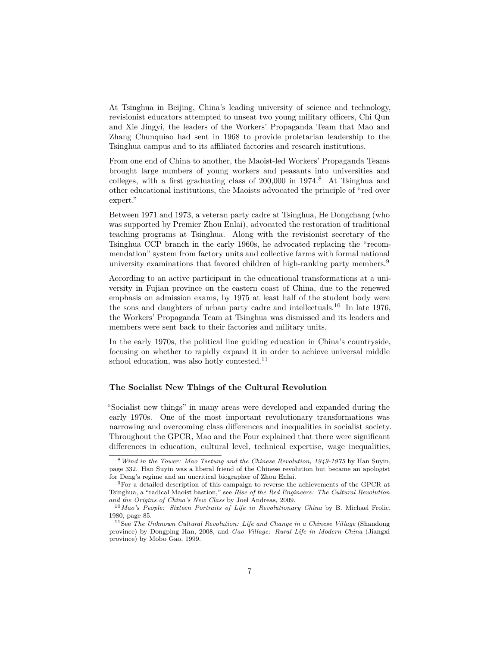At Tsinghua in Beijing, China's leading university of science and technology, revisionist educators attempted to unseat two young military officers, Chi Qun and Xie Jingyi, the leaders of the Workers' Propaganda Team that Mao and Zhang Chunquiao had sent in 1968 to provide proletarian leadership to the Tsinghua campus and to its affiliated factories and research institutions.

From one end of China to another, the Maoist-led Workers' Propaganda Teams brought large numbers of young workers and peasants into universities and colleges, with a first graduating class of 200,000 in 1974.[8](#page-6-0) At Tsinghua and other educational institutions, the Maoists advocated the principle of "red over expert."

Between 1971 and 1973, a veteran party cadre at Tsinghua, He Dongchang (who was supported by Premier Zhou Enlai), advocated the restoration of traditional teaching programs at Tsinghua. Along with the revisionist secretary of the Tsinghua CCP branch in the early 1960s, he advocated replacing the "recommendation" system from factory units and collective farms with formal national university examinations that favored children of high-ranking party members.[9](#page-6-1)

According to an active participant in the educational transformations at a university in Fujian province on the eastern coast of China, due to the renewed emphasis on admission exams, by 1975 at least half of the student body were the sons and daughters of urban party cadre and intellectuals.<sup>[10](#page-6-2)</sup> In late 1976, the Workers' Propaganda Team at Tsinghua was dismissed and its leaders and members were sent back to their factories and military units.

In the early 1970s, the political line guiding education in China's countryside, focusing on whether to rapidly expand it in order to achieve universal middle school education, was also hotly contested.<sup>[11](#page-6-3)</sup>

#### **The Socialist New Things of the Cultural Revolution**

"Socialist new things" in many areas were developed and expanded during the early 1970s. One of the most important revolutionary transformations was narrowing and overcoming class differences and inequalities in socialist society. Throughout the GPCR, Mao and the Four explained that there were significant differences in education, cultural level, technical expertise, wage inequalities,

<span id="page-6-0"></span><sup>8</sup>*Wind in the Tower: Mao Tsetung and the Chinese Revolution, 1949-1975* by Han Suyin, page 332. Han Suyin was a liberal friend of the Chinese revolution but became an apologist for Deng's regime and an uncritical biographer of Zhou Enlai.

<span id="page-6-1"></span><sup>9</sup>For a detailed description of this campaign to reverse the achievements of the GPCR at Tsinghua, a "radical Maoist bastion," see *Rise of the Red Engineers: The Cultural Revolution and the Origins of China's New Class* by Joel Andreas, 2009.

<span id="page-6-2"></span><sup>10</sup>*Mao's People: Sixteen Portraits of Life in Revolutionary China* by B. Michael Frolic, 1980, page 85.

<span id="page-6-3"></span><sup>11</sup>See *The Unknown Cultural Revolution: Life and Change in a Chinese Village* (Shandong province) by Dongping Han, 2008, and *Gao Village: Rural Life in Modern China* (Jiangxi province) by Mobo Gao, 1999.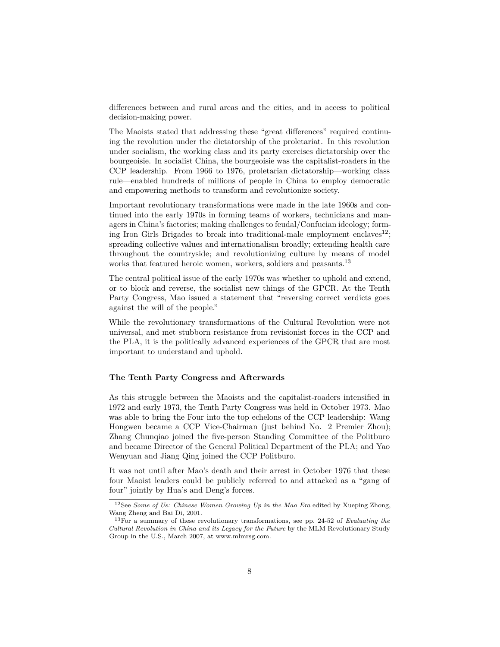differences between and rural areas and the cities, and in access to political decision-making power.

The Maoists stated that addressing these "great differences" required continuing the revolution under the dictatorship of the proletariat. In this revolution under socialism, the working class and its party exercises dictatorship over the bourgeoisie. In socialist China, the bourgeoisie was the capitalist-roaders in the CCP leadership. From 1966 to 1976, proletarian dictatorship—working class rule—enabled hundreds of millions of people in China to employ democratic and empowering methods to transform and revolutionize society.

Important revolutionary transformations were made in the late 1960s and continued into the early 1970s in forming teams of workers, technicians and managers in China's factories; making challenges to feudal/Confucian ideology; form-ing Iron Girls Brigades to break into traditional-male employment enclaves<sup>[12](#page-7-0)</sup>; spreading collective values and internationalism broadly; extending health care throughout the countryside; and revolutionizing culture by means of model works that featured heroic women, workers, soldiers and peasants.<sup>[13](#page-7-1)</sup>

The central political issue of the early 1970s was whether to uphold and extend, or to block and reverse, the socialist new things of the GPCR. At the Tenth Party Congress, Mao issued a statement that "reversing correct verdicts goes against the will of the people."

While the revolutionary transformations of the Cultural Revolution were not universal, and met stubborn resistance from revisionist forces in the CCP and the PLA, it is the politically advanced experiences of the GPCR that are most important to understand and uphold.

#### **The Tenth Party Congress and Afterwards**

As this struggle between the Maoists and the capitalist-roaders intensified in 1972 and early 1973, the Tenth Party Congress was held in October 1973. Mao was able to bring the Four into the top echelons of the CCP leadership: Wang Hongwen became a CCP Vice-Chairman (just behind No. 2 Premier Zhou); Zhang Chunqiao joined the five-person Standing Committee of the Politburo and became Director of the General Political Department of the PLA; and Yao Wenyuan and Jiang Qing joined the CCP Politburo.

It was not until after Mao's death and their arrest in October 1976 that these four Maoist leaders could be publicly referred to and attacked as a "gang of four" jointly by Hua's and Deng's forces.

<span id="page-7-0"></span><sup>12</sup>See *Some of Us: Chinese Women Growing Up in the Mao Era* edited by Xueping Zhong, Wang Zheng and Bai Di, 2001.

<span id="page-7-1"></span><sup>13</sup>For a summary of these revolutionary transformations, see pp. 24-52 of *Evaluating the Cultural Revolution in China and its Legacy for the Future* by the MLM Revolutionary Study Group in the U.S., March 2007, at www.mlmrsg.com.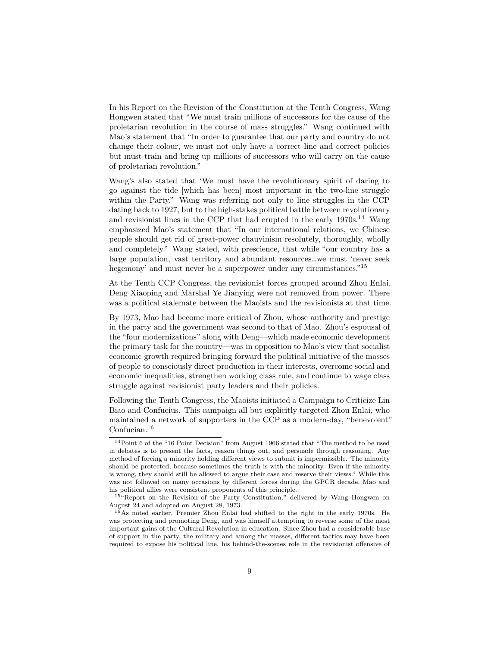In his Report on the Revision of the Constitution at the Tenth Congress, Wang Hongwen stated that "We must train millions of successors for the cause of the proletarian revolution in the course of mass struggles." Wang continued with Mao's statement that "In order to guarantee that our party and country do not change their colour, we must not only have a correct line and correct policies but must train and bring up millions of successors who will carry on the cause of proletarian revolution."

Wang's also stated that 'We must have the revolutionary spirit of daring to go against the tide [which has been] most important in the two-line struggle within the Party." Wang was referring not only to line struggles in the CCP dating back to 1927, but to the high-stakes political battle between revolutionary and revisionist lines in the CCP that had erupted in the early  $1970s$ <sup>[14](#page-8-0)</sup> Wang emphasized Mao's statement that "In our international relations, we Chinese people should get rid of great-power chauvinism resolutely, thoroughly, wholly and completely." Wang stated, with prescience, that while "our country has a large population, vast territory and abundant resources…we must 'never seek hegemony' and must never be a superpower under any circumstances."<sup>[15](#page-8-1)</sup>

At the Tenth CCP Congress, the revisionist forces grouped around Zhou Enlai, Deng Xiaoping and Marshal Ye Jianying were not removed from power. There was a political stalemate between the Maoists and the revisionists at that time.

By 1973, Mao had become more critical of Zhou, whose authority and prestige in the party and the government was second to that of Mao. Zhou's espousal of the "four modernizations" along with Deng—which made economic development the primary task for the country—was in opposition to Mao's view that socialist economic growth required bringing forward the political initiative of the masses of people to consciously direct production in their interests, overcome social and economic inequalities, strengthen working class rule, and continue to wage class struggle against revisionist party leaders and their policies.

Following the Tenth Congress, the Maoists initiated a Campaign to Criticize Lin Biao and Confucius. This campaign all but explicitly targeted Zhou Enlai, who maintained a network of supporters in the CCP as a modern-day, "benevolent" Confucian.[16](#page-8-2)

<span id="page-8-0"></span><sup>14</sup>Point 6 of the "16 Point Decision" from August 1966 stated that "The method to be used in debates is to present the facts, reason things out, and persuade through reasoning. Any method of forcing a minority holding different views to submit is impermissible. The minority should be protected, because sometimes the truth is with the minority. Even if the minority is wrong, they should still be allowed to argue their case and reserve their views." While this was not followed on many occasions by different forces during the GPCR decade, Mao and his political allies were consistent proponents of this principle.

<span id="page-8-1"></span><sup>15</sup>"Report on the Revision of the Party Constitution," delivered by Wang Hongwen on August 24 and adopted on August 28, 1973.

<span id="page-8-2"></span><sup>16</sup>As noted earlier, Premier Zhou Enlai had shifted to the right in the early 1970s. He was protecting and promoting Deng, and was himself attempting to reverse some of the most important gains of the Cultural Revolution in education. Since Zhou had a considerable base of support in the party, the military and among the masses, different tactics may have been required to expose his political line, his behind-the-scenes role in the revisionist offensive of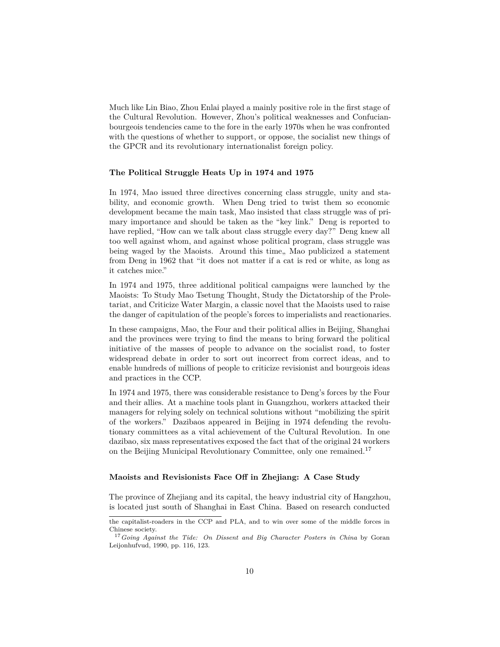Much like Lin Biao, Zhou Enlai played a mainly positive role in the first stage of the Cultural Revolution. However, Zhou's political weaknesses and Confucianbourgeois tendencies came to the fore in the early 1970s when he was confronted with the questions of whether to support, or oppose, the socialist new things of the GPCR and its revolutionary internationalist foreign policy.

#### **The Political Struggle Heats Up in 1974 and 1975**

In 1974, Mao issued three directives concerning class struggle, unity and stability, and economic growth. When Deng tried to twist them so economic development became the main task, Mao insisted that class struggle was of primary importance and should be taken as the "key link." Deng is reported to have replied, "How can we talk about class struggle every day?" Deng knew all too well against whom, and against whose political program, class struggle was being waged by the Maoists. Around this time, Mao publicized a statement from Deng in 1962 that "it does not matter if a cat is red or white, as long as it catches mice."

In 1974 and 1975, three additional political campaigns were launched by the Maoists: To Study Mao Tsetung Thought, Study the Dictatorship of the Proletariat, and Criticize Water Margin, a classic novel that the Maoists used to raise the danger of capitulation of the people's forces to imperialists and reactionaries.

In these campaigns, Mao, the Four and their political allies in Beijing, Shanghai and the provinces were trying to find the means to bring forward the political initiative of the masses of people to advance on the socialist road, to foster widespread debate in order to sort out incorrect from correct ideas, and to enable hundreds of millions of people to criticize revisionist and bourgeois ideas and practices in the CCP.

In 1974 and 1975, there was considerable resistance to Deng's forces by the Four and their allies. At a machine tools plant in Guangzhou, workers attacked their managers for relying solely on technical solutions without "mobilizing the spirit of the workers." Dazibaos appeared in Beijing in 1974 defending the revolutionary committees as a vital achievement of the Cultural Revolution. In one dazibao, six mass representatives exposed the fact that of the original 24 workers on the Beijing Municipal Revolutionary Committee, only one remained.[17](#page-9-0)

#### **Maoists and Revisionists Face Off in Zhejiang: A Case Study**

The province of Zhejiang and its capital, the heavy industrial city of Hangzhou, is located just south of Shanghai in East China. Based on research conducted

the capitalist-roaders in the CCP and PLA, and to win over some of the middle forces in Chinese society.

<span id="page-9-0"></span><sup>17</sup>*Going Against the Tide: On Dissent and Big Character Posters in China* by Goran Leijonhufvud, 1990, pp. 116, 123.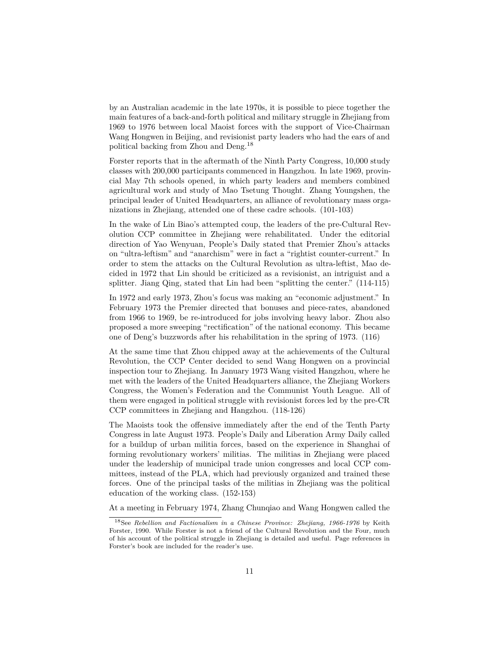by an Australian academic in the late 1970s, it is possible to piece together the main features of a back-and-forth political and military struggle in Zhejiang from 1969 to 1976 between local Maoist forces with the support of Vice-Chairman Wang Hongwen in Beijing, and revisionist party leaders who had the ears of and political backing from Zhou and Deng.[18](#page-10-0)

Forster reports that in the aftermath of the Ninth Party Congress, 10,000 study classes with 200,000 participants commenced in Hangzhou. In late 1969, provincial May 7th schools opened, in which party leaders and members combined agricultural work and study of Mao Tsetung Thought. Zhang Youngshen, the principal leader of United Headquarters, an alliance of revolutionary mass organizations in Zhejiang, attended one of these cadre schools. (101-103)

In the wake of Lin Biao's attempted coup, the leaders of the pre-Cultural Revolution CCP committee in Zhejiang were rehabilitated. Under the editorial direction of Yao Wenyuan, People's Daily stated that Premier Zhou's attacks on "ultra-leftism" and "anarchism" were in fact a "rightist counter-current." In order to stem the attacks on the Cultural Revolution as ultra-leftist, Mao decided in 1972 that Lin should be criticized as a revisionist, an intriguist and a splitter. Jiang Qing, stated that Lin had been "splitting the center." (114-115)

In 1972 and early 1973, Zhou's focus was making an "economic adjustment." In February 1973 the Premier directed that bonuses and piece-rates, abandoned from 1966 to 1969, be re-introduced for jobs involving heavy labor. Zhou also proposed a more sweeping "rectification" of the national economy. This became one of Deng's buzzwords after his rehabilitation in the spring of 1973. (116)

At the same time that Zhou chipped away at the achievements of the Cultural Revolution, the CCP Center decided to send Wang Hongwen on a provincial inspection tour to Zhejiang. In January 1973 Wang visited Hangzhou, where he met with the leaders of the United Headquarters alliance, the Zhejiang Workers Congress, the Women's Federation and the Communist Youth League. All of them were engaged in political struggle with revisionist forces led by the pre-CR CCP committees in Zhejiang and Hangzhou. (118-126)

The Maoists took the offensive immediately after the end of the Tenth Party Congress in late August 1973. People's Daily and Liberation Army Daily called for a buildup of urban militia forces, based on the experience in Shanghai of forming revolutionary workers' militias. The militias in Zhejiang were placed under the leadership of municipal trade union congresses and local CCP committees, instead of the PLA, which had previously organized and trained these forces. One of the principal tasks of the militias in Zhejiang was the political education of the working class. (152-153)

At a meeting in February 1974, Zhang Chunqiao and Wang Hongwen called the

<span id="page-10-0"></span><sup>18</sup>See *Rebellion and Factionalism in a Chinese Province: Zhejiang, 1966-1976* by Keith Forster, 1990. While Forster is not a friend of the Cultural Revolution and the Four, much of his account of the political struggle in Zhejiang is detailed and useful. Page references in Forster's book are included for the reader's use.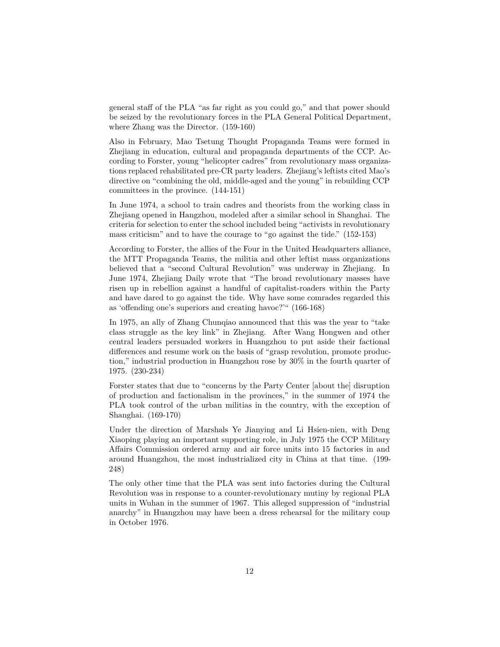general staff of the PLA "as far right as you could go," and that power should be seized by the revolutionary forces in the PLA General Political Department, where Zhang was the Director. (159-160)

Also in February, Mao Tsetung Thought Propaganda Teams were formed in Zhejiang in education, cultural and propaganda departments of the CCP. According to Forster, young "helicopter cadres" from revolutionary mass organizations replaced rehabilitated pre-CR party leaders. Zhejiang's leftists cited Mao's directive on "combining the old, middle-aged and the young" in rebuilding CCP committees in the province. (144-151)

In June 1974, a school to train cadres and theorists from the working class in Zhejiang opened in Hangzhou, modeled after a similar school in Shanghai. The criteria for selection to enter the school included being "activists in revolutionary mass criticism" and to have the courage to "go against the tide." (152-153)

According to Forster, the allies of the Four in the United Headquarters alliance, the MTT Propaganda Teams, the militia and other leftist mass organizations believed that a "second Cultural Revolution" was underway in Zhejiang. In June 1974, Zhejiang Daily wrote that "The broad revolutionary masses have risen up in rebellion against a handful of capitalist-roaders within the Party and have dared to go against the tide. Why have some comrades regarded this as 'offending one's superiors and creating havoc?'" (166-168)

In 1975, an ally of Zhang Chunqiao announced that this was the year to "take class struggle as the key link" in Zhejiang. After Wang Hongwen and other central leaders persuaded workers in Huangzhou to put aside their factional differences and resume work on the basis of "grasp revolution, promote production," industrial production in Huangzhou rose by 30% in the fourth quarter of 1975. (230-234)

Forster states that due to "concerns by the Party Center [about the] disruption of production and factionalism in the provinces," in the summer of 1974 the PLA took control of the urban militias in the country, with the exception of Shanghai. (169-170)

Under the direction of Marshals Ye Jianying and Li Hsien-nien, with Deng Xiaoping playing an important supporting role, in July 1975 the CCP Military Affairs Commission ordered army and air force units into 15 factories in and around Huangzhou, the most industrialized city in China at that time. (199- 248)

The only other time that the PLA was sent into factories during the Cultural Revolution was in response to a counter-revolutionary mutiny by regional PLA units in Wuhan in the summer of 1967. This alleged suppression of "industrial anarchy" in Huangzhou may have been a dress rehearsal for the military coup in October 1976.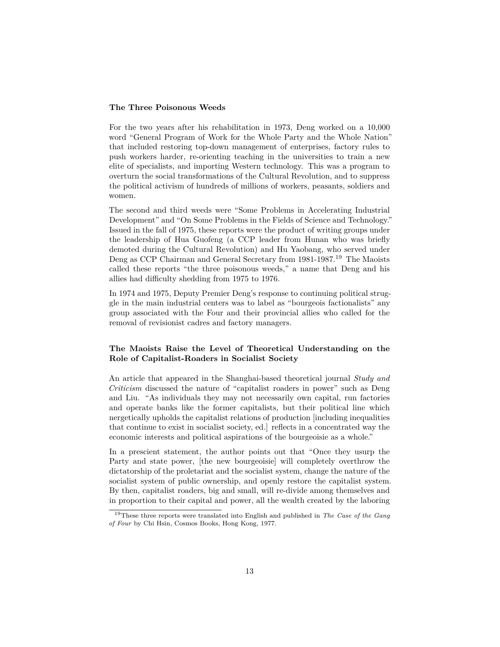#### **The Three Poisonous Weeds**

For the two years after his rehabilitation in 1973, Deng worked on a 10,000 word "General Program of Work for the Whole Party and the Whole Nation" that included restoring top-down management of enterprises, factory rules to push workers harder, re-orienting teaching in the universities to train a new elite of specialists, and importing Western technology. This was a program to overturn the social transformations of the Cultural Revolution, and to suppress the political activism of hundreds of millions of workers, peasants, soldiers and women.

The second and third weeds were "Some Problems in Accelerating Industrial Development" and "On Some Problems in the Fields of Science and Technology." Issued in the fall of 1975, these reports were the product of writing groups under the leadership of Hua Guofeng (a CCP leader from Hunan who was briefly demoted during the Cultural Revolution) and Hu Yaobang, who served under Deng as CCP Chairman and General Secretary from 1981-1987.[19](#page-12-0) The Maoists called these reports "the three poisonous weeds," a name that Deng and his allies had difficulty shedding from 1975 to 1976.

In 1974 and 1975, Deputy Premier Deng's response to continuing political struggle in the main industrial centers was to label as "bourgeois factionalists" any group associated with the Four and their provincial allies who called for the removal of revisionist cadres and factory managers.

#### **The Maoists Raise the Level of Theoretical Understanding on the Role of Capitalist-Roaders in Socialist Society**

An article that appeared in the Shanghai-based theoretical journal *Study and Criticism* discussed the nature of "capitalist roaders in power" such as Deng and Liu. "As individuals they may not necessarily own capital, run factories and operate banks like the former capitalists, but their political line which nergetically upholds the capitalist relations of production [including inequalities that continue to exist in socialist society, ed.] reflects in a concentrated way the economic interests and political aspirations of the bourgeoisie as a whole."

In a prescient statement, the author points out that "Once they usurp the Party and state power, [the new bourgeoisie] will completely overthrow the dictatorship of the proletariat and the socialist system, change the nature of the socialist system of public ownership, and openly restore the capitalist system. By then, capitalist roaders, big and small, will re-divide among themselves and in proportion to their capital and power, all the wealth created by the laboring

<span id="page-12-0"></span><sup>19</sup>These three reports were translated into English and published in *The Case of the Gang of Four* by Chi Hsin, Cosmos Books, Hong Kong, 1977.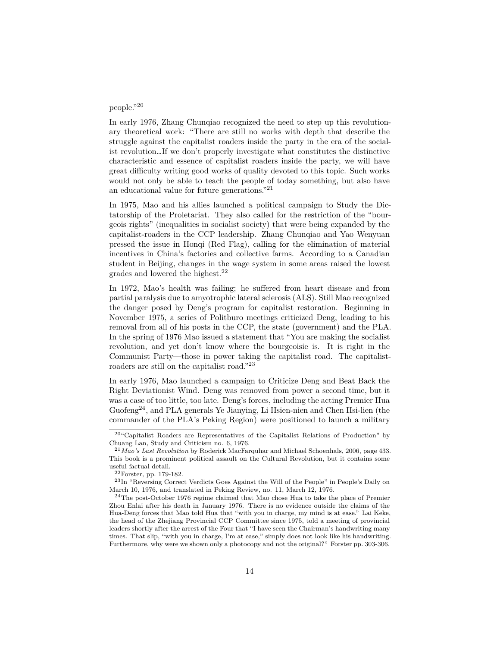# people."[20](#page-13-0)

In early 1976, Zhang Chunqiao recognized the need to step up this revolutionary theoretical work: "There are still no works with depth that describe the struggle against the capitalist roaders inside the party in the era of the socialist revolution…If we don't properly investigate what constitutes the distinctive characteristic and essence of capitalist roaders inside the party, we will have great difficulty writing good works of quality devoted to this topic. Such works would not only be able to teach the people of today something, but also have an educational value for future generations."[21](#page-13-1)

In 1975, Mao and his allies launched a political campaign to Study the Dictatorship of the Proletariat. They also called for the restriction of the "bourgeois rights" (inequalities in socialist society) that were being expanded by the capitalist-roaders in the CCP leadership. Zhang Chunqiao and Yao Wenyuan pressed the issue in Honqi (Red Flag), calling for the elimination of material incentives in China's factories and collective farms. According to a Canadian student in Beijing, changes in the wage system in some areas raised the lowest grades and lowered the highest.[22](#page-13-2)

In 1972, Mao's health was failing; he suffered from heart disease and from partial paralysis due to amyotrophic lateral sclerosis (ALS). Still Mao recognized the danger posed by Deng's program for capitalist restoration. Beginning in November 1975, a series of Politburo meetings criticized Deng, leading to his removal from all of his posts in the CCP, the state (government) and the PLA. In the spring of 1976 Mao issued a statement that "You are making the socialist revolution, and yet don't know where the bourgeoisie is. It is right in the Communist Party—those in power taking the capitalist road. The capitalistroaders are still on the capitalist road."[23](#page-13-3)

In early 1976, Mao launched a campaign to Criticize Deng and Beat Back the Right Deviationist Wind. Deng was removed from power a second time, but it was a case of too little, too late. Deng's forces, including the acting Premier Hua  $Guofeng<sup>24</sup>$  $Guofeng<sup>24</sup>$  $Guofeng<sup>24</sup>$ , and PLA generals Ye Jianying, Li Hsien-nien and Chen Hsi-lien (the commander of the PLA's Peking Region) were positioned to launch a military

<span id="page-13-0"></span><sup>20</sup>"Capitalist Roaders are Representatives of the Capitalist Relations of Production" by Chuang Lan, Study and Criticism no. 6, 1976.

<span id="page-13-1"></span><sup>21</sup>*Mao's Last Revolution* by Roderick MacFarquhar and Michael Schoenhals, 2006, page 433. This book is a prominent political assault on the Cultural Revolution, but it contains some useful factual detail.

<span id="page-13-3"></span><span id="page-13-2"></span><sup>22</sup>Forster, pp. 179-182.

<sup>&</sup>lt;sup>23</sup>In "Reversing Correct Verdicts Goes Against the Will of the People" in People's Daily on March 10, 1976, and translated in Peking Review, no. 11, March 12, 1976.

<span id="page-13-4"></span><sup>24</sup>The post-October 1976 regime claimed that Mao chose Hua to take the place of Premier Zhou Enlai after his death in January 1976. There is no evidence outside the claims of the Hua-Deng forces that Mao told Hua that "with you in charge, my mind is at ease." Lai Keke, the head of the Zhejiang Provincial CCP Committee since 1975, told a meeting of provincial leaders shortly after the arrest of the Four that "I have seen the Chairman's handwriting many times. That slip, "with you in charge, I'm at ease," simply does not look like his handwriting. Furthermore, why were we shown only a photocopy and not the original?" Forster pp. 303-306.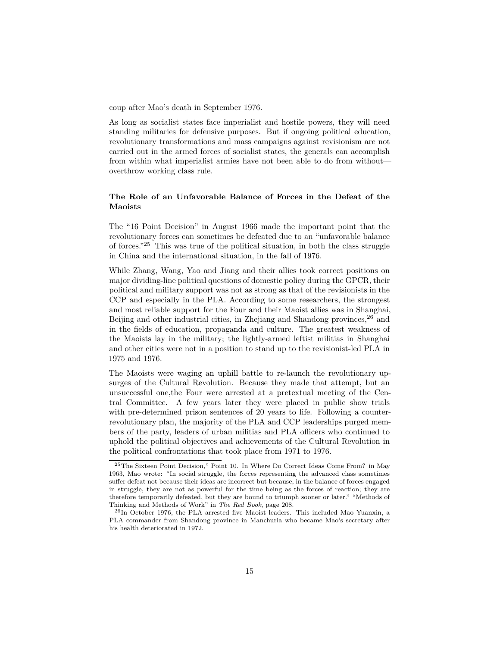coup after Mao's death in September 1976.

As long as socialist states face imperialist and hostile powers, they will need standing militaries for defensive purposes. But if ongoing political education, revolutionary transformations and mass campaigns against revisionism are not carried out in the armed forces of socialist states, the generals can accomplish from within what imperialist armies have not been able to do from without overthrow working class rule.

# **The Role of an Unfavorable Balance of Forces in the Defeat of the Maoists**

The "16 Point Decision" in August 1966 made the important point that the revolutionary forces can sometimes be defeated due to an "unfavorable balance of forces."[25](#page-14-0) This was true of the political situation, in both the class struggle in China and the international situation, in the fall of 1976.

While Zhang, Wang, Yao and Jiang and their allies took correct positions on major dividing-line political questions of domestic policy during the GPCR, their political and military support was not as strong as that of the revisionists in the CCP and especially in the PLA. According to some researchers, the strongest and most reliable support for the Four and their Maoist allies was in Shanghai, Beijing and other industrial cities, in Zhejiang and Shandong provinces,<sup>[26](#page-14-1)</sup> and in the fields of education, propaganda and culture. The greatest weakness of the Maoists lay in the military; the lightly-armed leftist militias in Shanghai and other cities were not in a position to stand up to the revisionist-led PLA in 1975 and 1976.

The Maoists were waging an uphill battle to re-launch the revolutionary upsurges of the Cultural Revolution. Because they made that attempt, but an unsuccessful one,the Four were arrested at a pretextual meeting of the Central Committee. A few years later they were placed in public show trials with pre-determined prison sentences of 20 years to life. Following a counterrevolutionary plan, the majority of the PLA and CCP leaderships purged members of the party, leaders of urban militias and PLA officers who continued to uphold the political objectives and achievements of the Cultural Revolution in the political confrontations that took place from 1971 to 1976.

<span id="page-14-0"></span><sup>25</sup>The Sixteen Point Decision," Point 10. In Where Do Correct Ideas Come From? in May 1963, Mao wrote: "In social struggle, the forces representing the advanced class sometimes suffer defeat not because their ideas are incorrect but because, in the balance of forces engaged in struggle, they are not as powerful for the time being as the forces of reaction; they are therefore temporarily defeated, but they are bound to triumph sooner or later." "Methods of Thinking and Methods of Work" in *The Red Book*, page 208.

<span id="page-14-1"></span><sup>26</sup>In October 1976, the PLA arrested five Maoist leaders. This included Mao Yuanxin, a PLA commander from Shandong province in Manchuria who became Mao's secretary after his health deteriorated in 1972.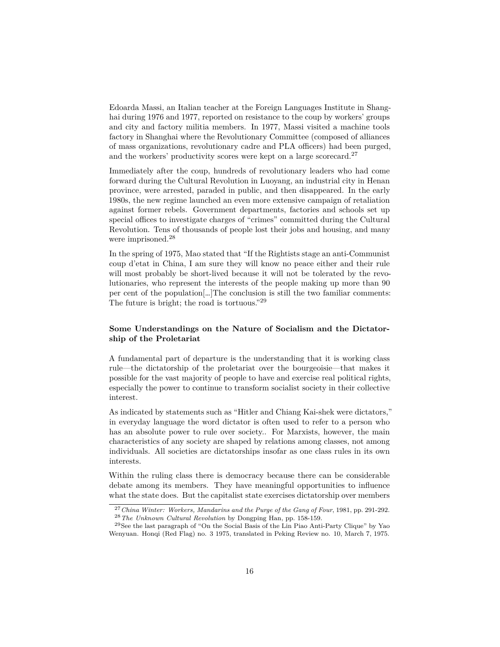Edoarda Massi, an Italian teacher at the Foreign Languages Institute in Shanghai during 1976 and 1977, reported on resistance to the coup by workers' groups and city and factory militia members. In 1977, Massi visited a machine tools factory in Shanghai where the Revolutionary Committee (composed of alliances of mass organizations, revolutionary cadre and PLA officers) had been purged, and the workers' productivity scores were kept on a large scorecard.<sup>[27](#page-15-0)</sup>

Immediately after the coup, hundreds of revolutionary leaders who had come forward during the Cultural Revolution in Luoyang, an industrial city in Henan province, were arrested, paraded in public, and then disappeared. In the early 1980s, the new regime launched an even more extensive campaign of retaliation against former rebels. Government departments, factories and schools set up special offices to investigate charges of "crimes" committed during the Cultural Revolution. Tens of thousands of people lost their jobs and housing, and many were imprisoned.[28](#page-15-1)

In the spring of 1975, Mao stated that "If the Rightists stage an anti-Communist coup d'etat in China, I am sure they will know no peace either and their rule will most probably be short-lived because it will not be tolerated by the revolutionaries, who represent the interests of the people making up more than 90 per cent of the population[…]The conclusion is still the two familiar comments: The future is bright; the road is tortuous."[29](#page-15-2)

# **Some Understandings on the Nature of Socialism and the Dictatorship of the Proletariat**

A fundamental part of departure is the understanding that it is working class rule—the dictatorship of the proletariat over the bourgeoisie—that makes it possible for the vast majority of people to have and exercise real political rights, especially the power to continue to transform socialist society in their collective interest.

As indicated by statements such as "Hitler and Chiang Kai-shek were dictators," in everyday language the word dictator is often used to refer to a person who has an absolute power to rule over society.. For Marxists, however, the main characteristics of any society are shaped by relations among classes, not among individuals. All societies are dictatorships insofar as one class rules in its own interests.

Within the ruling class there is democracy because there can be considerable debate among its members. They have meaningful opportunities to influence what the state does. But the capitalist state exercises dictatorship over members

<span id="page-15-1"></span><span id="page-15-0"></span><sup>27</sup>*China Winter: Workers, Mandarins and the Purge of the Gang of Four*, 1981, pp. 291-292. <sup>28</sup>*The Unknown Cultural Revolution* by Dongping Han, pp. 158-159.

<span id="page-15-2"></span> $^{29}\rm{See}$  the last paragraph of "On the Social Basis of the Lin Piao Anti-Party Clique" by Yao Wenyuan. Honqi (Red Flag) no. 3 1975, translated in Peking Review no. 10, March 7, 1975.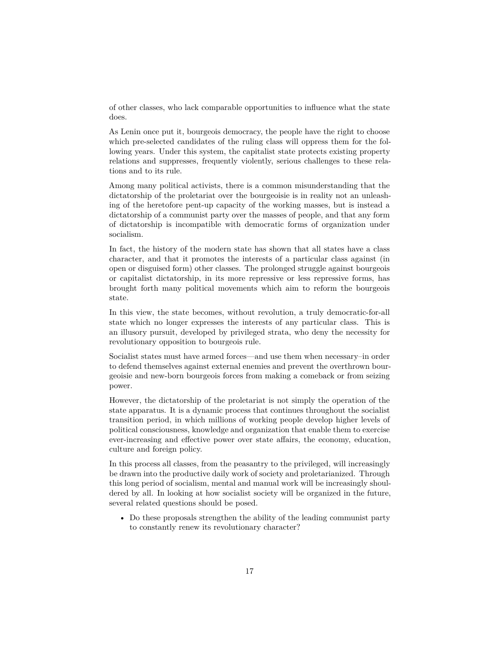of other classes, who lack comparable opportunities to influence what the state does.

As Lenin once put it, bourgeois democracy, the people have the right to choose which pre-selected candidates of the ruling class will oppress them for the following years. Under this system, the capitalist state protects existing property relations and suppresses, frequently violently, serious challenges to these relations and to its rule.

Among many political activists, there is a common misunderstanding that the dictatorship of the proletariat over the bourgeoisie is in reality not an unleashing of the heretofore pent-up capacity of the working masses, but is instead a dictatorship of a communist party over the masses of people, and that any form of dictatorship is incompatible with democratic forms of organization under socialism.

In fact, the history of the modern state has shown that all states have a class character, and that it promotes the interests of a particular class against (in open or disguised form) other classes. The prolonged struggle against bourgeois or capitalist dictatorship, in its more repressive or less repressive forms, has brought forth many political movements which aim to reform the bourgeois state.

In this view, the state becomes, without revolution, a truly democratic-for-all state which no longer expresses the interests of any particular class. This is an illusory pursuit, developed by privileged strata, who deny the necessity for revolutionary opposition to bourgeois rule.

Socialist states must have armed forces—and use them when necessary–in order to defend themselves against external enemies and prevent the overthrown bourgeoisie and new-born bourgeois forces from making a comeback or from seizing power.

However, the dictatorship of the proletariat is not simply the operation of the state apparatus. It is a dynamic process that continues throughout the socialist transition period, in which millions of working people develop higher levels of political consciousness, knowledge and organization that enable them to exercise ever-increasing and effective power over state affairs, the economy, education, culture and foreign policy.

In this process all classes, from the peasantry to the privileged, will increasingly be drawn into the productive daily work of society and proletarianized. Through this long period of socialism, mental and manual work will be increasingly shouldered by all. In looking at how socialist society will be organized in the future, several related questions should be posed.

• Do these proposals strengthen the ability of the leading communist party to constantly renew its revolutionary character?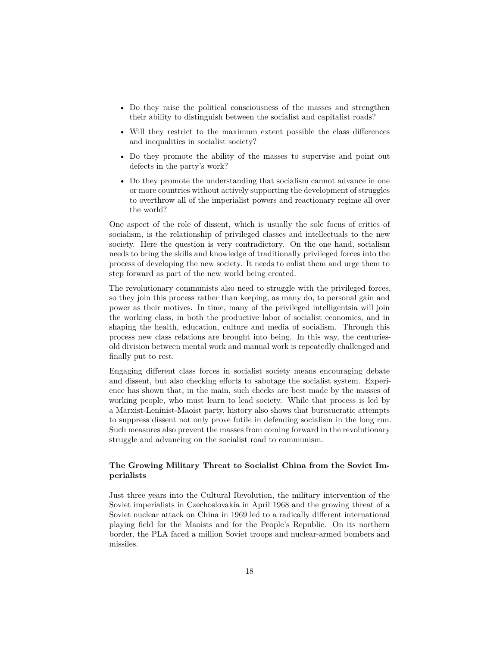- Do they raise the political consciousness of the masses and strengthen their ability to distinguish between the socialist and capitalist roads?
- Will they restrict to the maximum extent possible the class differences and inequalities in socialist society?
- Do they promote the ability of the masses to supervise and point out defects in the party's work?
- Do they promote the understanding that socialism cannot advance in one or more countries without actively supporting the development of struggles to overthrow all of the imperialist powers and reactionary regime all over the world?

One aspect of the role of dissent, which is usually the sole focus of critics of socialism, is the relationship of privileged classes and intellectuals to the new society. Here the question is very contradictory. On the one hand, socialism needs to bring the skills and knowledge of traditionally privileged forces into the process of developing the new society. It needs to enlist them and urge them to step forward as part of the new world being created.

The revolutionary communists also need to struggle with the privileged forces, so they join this process rather than keeping, as many do, to personal gain and power as their motives. In time, many of the privileged intelligentsia will join the working class, in both the productive labor of socialist economics, and in shaping the health, education, culture and media of socialism. Through this process new class relations are brought into being. In this way, the centuriesold division between mental work and manual work is repeatedly challenged and finally put to rest.

Engaging different class forces in socialist society means encouraging debate and dissent, but also checking efforts to sabotage the socialist system. Experience has shown that, in the main, such checks are best made by the masses of working people, who must learn to lead society. While that process is led by a Marxist-Leninist-Maoist party, history also shows that bureaucratic attempts to suppress dissent not only prove futile in defending socialism in the long run. Such measures also prevent the masses from coming forward in the revolutionary struggle and advancing on the socialist road to communism.

#### **The Growing Military Threat to Socialist China from the Soviet Imperialists**

Just three years into the Cultural Revolution, the military intervention of the Soviet imperialists in Czechoslovakia in April 1968 and the growing threat of a Soviet nuclear attack on China in 1969 led to a radically different international playing field for the Maoists and for the People's Republic. On its northern border, the PLA faced a million Soviet troops and nuclear-armed bombers and missiles.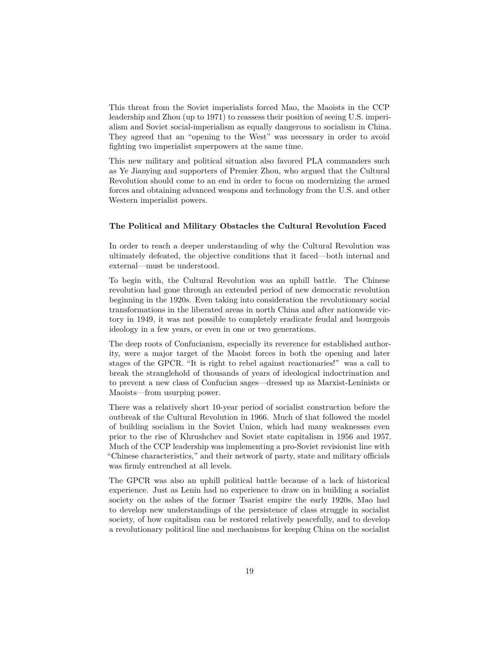This threat from the Soviet imperialists forced Mao, the Maoists in the CCP leadership and Zhou (up to 1971) to reassess their position of seeing U.S. imperialism and Soviet social-imperialism as equally dangerous to socialism in China. They agreed that an "opening to the West" was necessary in order to avoid fighting two imperialist superpowers at the same time.

This new military and political situation also favored PLA commanders such as Ye Jianying and supporters of Premier Zhou, who argued that the Cultural Revolution should come to an end in order to focus on modernizing the armed forces and obtaining advanced weapons and technology from the U.S. and other Western imperialist powers.

#### **The Political and Military Obstacles the Cultural Revolution Faced**

In order to reach a deeper understanding of why the Cultural Revolution was ultimately defeated, the objective conditions that it faced—both internal and external—must be understood.

To begin with, the Cultural Revolution was an uphill battle. The Chinese revolution had gone through an extended period of new democratic revolution beginning in the 1920s. Even taking into consideration the revolutionary social transformations in the liberated areas in north China and after nationwide victory in 1949, it was not possible to completely eradicate feudal and bourgeois ideology in a few years, or even in one or two generations.

The deep roots of Confucianism, especially its reverence for established authority, were a major target of the Maoist forces in both the opening and later stages of the GPCR. "It is right to rebel against reactionaries!" was a call to break the stranglehold of thousands of years of ideological indoctrination and to prevent a new class of Confucian sages—dressed up as Marxist-Leninists or Maoists—from usurping power.

There was a relatively short 10-year period of socialist construction before the outbreak of the Cultural Revolution in 1966. Much of that followed the model of building socialism in the Soviet Union, which had many weaknesses even prior to the rise of Khrushchev and Soviet state capitalism in 1956 and 1957. Much of the CCP leadership was implementing a pro-Soviet revisionist line with "Chinese characteristics," and their network of party, state and military officials was firmly entrenched at all levels.

The GPCR was also an uphill political battle because of a lack of historical experience. Just as Lenin had no experience to draw on in building a socialist society on the ashes of the former Tsarist empire the early 1920s, Mao had to develop new understandings of the persistence of class struggle in socialist society, of how capitalism can be restored relatively peacefully, and to develop a revolutionary political line and mechanisms for keeping China on the socialist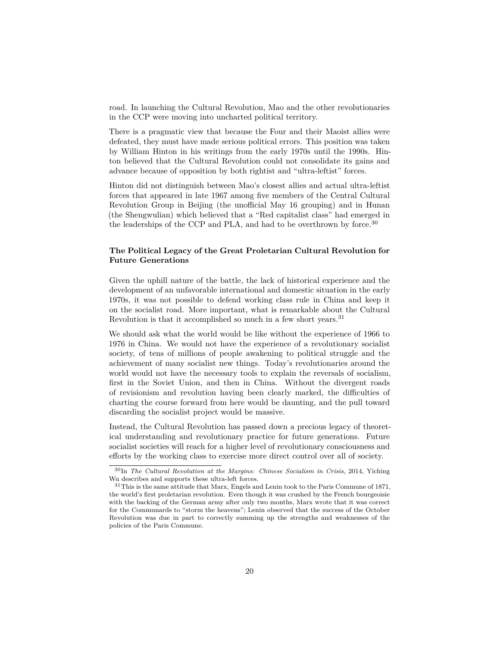road. In launching the Cultural Revolution, Mao and the other revolutionaries in the CCP were moving into uncharted political territory.

There is a pragmatic view that because the Four and their Maoist allies were defeated, they must have made serious political errors. This position was taken by William Hinton in his writings from the early 1970s until the 1990s. Hinton believed that the Cultural Revolution could not consolidate its gains and advance because of opposition by both rightist and "ultra-leftist" forces.

Hinton did not distinguish between Mao's closest allies and actual ultra-leftist forces that appeared in late 1967 among five members of the Central Cultural Revolution Group in Beijing (the unofficial May 16 grouping) and in Hunan (the Shengwulian) which believed that a "Red capitalist class" had emerged in the leaderships of the CCP and PLA, and had to be overthrown by force.<sup>[30](#page-19-0)</sup>

# **The Political Legacy of the Great Proletarian Cultural Revolution for Future Generations**

Given the uphill nature of the battle, the lack of historical experience and the development of an unfavorable international and domestic situation in the early 1970s, it was not possible to defend working class rule in China and keep it on the socialist road. More important, what is remarkable about the Cultural Revolution is that it accomplished so much in a few short years.<sup>[31](#page-19-1)</sup>

We should ask what the world would be like without the experience of 1966 to 1976 in China. We would not have the experience of a revolutionary socialist society, of tens of millions of people awakening to political struggle and the achievement of many socialist new things. Today's revolutionaries around the world would not have the necessary tools to explain the reversals of socialism, first in the Soviet Union, and then in China. Without the divergent roads of revisionism and revolution having been clearly marked, the difficulties of charting the course forward from here would be daunting, and the pull toward discarding the socialist project would be massive.

Instead, the Cultural Revolution has passed down a precious legacy of theoretical understanding and revolutionary practice for future generations. Future socialist societies will reach for a higher level of revolutionary consciousness and efforts by the working class to exercise more direct control over all of society.

<span id="page-19-0"></span><sup>30</sup>In *The Cultural Revolution at the Margins: Chinese Socialism in Crisis*, 2014, Yiching Wu describes and supports these ultra-left forces.

<span id="page-19-1"></span><sup>&</sup>lt;sup>31</sup>This is the same attitude that Marx, Engels and Lenin took to the Paris Commune of 1871, the world's first proletarian revolution. Even though it was crushed by the French bourgeoisie with the backing of the German army after only two months, Marx wrote that it was correct for the Communards to "storm the heavens"; Lenin observed that the success of the October Revolution was due in part to correctly summing up the strengths and weaknesses of the policies of the Paris Commune.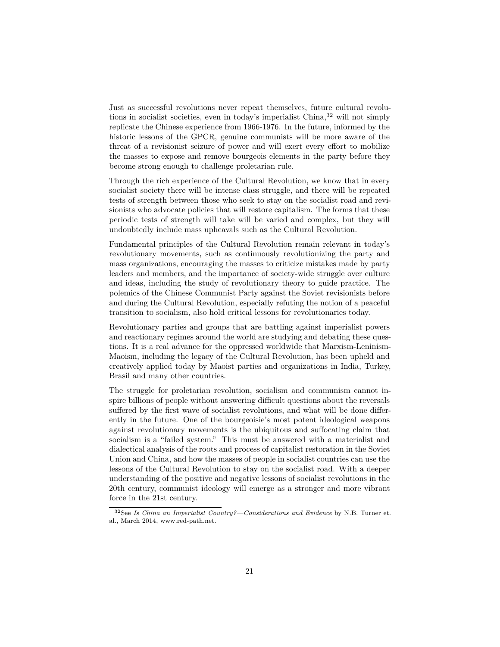Just as successful revolutions never repeat themselves, future cultural revolu-tions in socialist societies, even in today's imperialist China,<sup>[32](#page-20-0)</sup> will not simply replicate the Chinese experience from 1966-1976. In the future, informed by the historic lessons of the GPCR, genuine communists will be more aware of the threat of a revisionist seizure of power and will exert every effort to mobilize the masses to expose and remove bourgeois elements in the party before they become strong enough to challenge proletarian rule.

Through the rich experience of the Cultural Revolution, we know that in every socialist society there will be intense class struggle, and there will be repeated tests of strength between those who seek to stay on the socialist road and revisionists who advocate policies that will restore capitalism. The forms that these periodic tests of strength will take will be varied and complex, but they will undoubtedly include mass upheavals such as the Cultural Revolution.

Fundamental principles of the Cultural Revolution remain relevant in today's revolutionary movements, such as continuously revolutionizing the party and mass organizations, encouraging the masses to criticize mistakes made by party leaders and members, and the importance of society-wide struggle over culture and ideas, including the study of revolutionary theory to guide practice. The polemics of the Chinese Communist Party against the Soviet revisionists before and during the Cultural Revolution, especially refuting the notion of a peaceful transition to socialism, also hold critical lessons for revolutionaries today.

Revolutionary parties and groups that are battling against imperialist powers and reactionary regimes around the world are studying and debating these questions. It is a real advance for the oppressed worldwide that Marxism-Leninism-Maoism, including the legacy of the Cultural Revolution, has been upheld and creatively applied today by Maoist parties and organizations in India, Turkey, Brasil and many other countries.

The struggle for proletarian revolution, socialism and communism cannot inspire billions of people without answering difficult questions about the reversals suffered by the first wave of socialist revolutions, and what will be done differently in the future. One of the bourgeoisie's most potent ideological weapons against revolutionary movements is the ubiquitous and suffocating claim that socialism is a "failed system." This must be answered with a materialist and dialectical analysis of the roots and process of capitalist restoration in the Soviet Union and China, and how the masses of people in socialist countries can use the lessons of the Cultural Revolution to stay on the socialist road. With a deeper understanding of the positive and negative lessons of socialist revolutions in the 20th century, communist ideology will emerge as a stronger and more vibrant force in the 21st century.

<span id="page-20-0"></span><sup>32</sup>See *Is China an Imperialist Country?—Considerations and Evidence* by N.B. Turner et. al., March 2014, www.red-path.net.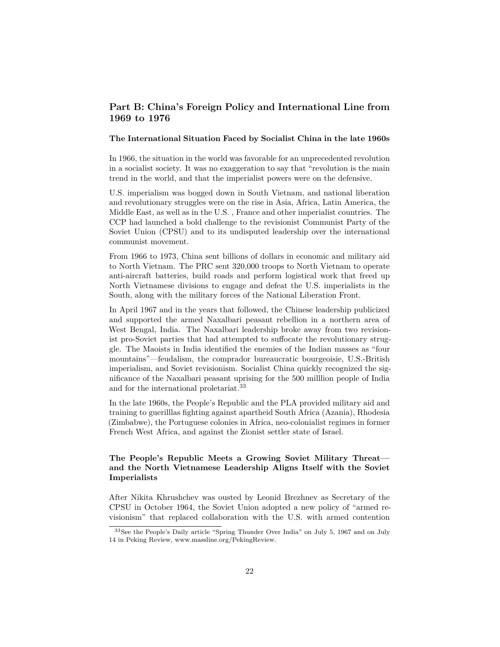# **Part B: China's Foreign Policy and International Line from 1969 to 1976**

# **The International Situation Faced by Socialist China in the late 1960s**

In 1966, the situation in the world was favorable for an unprecedented revolution in a socialist society. It was no exaggeration to say that "revolution is the main trend in the world, and that the imperialist powers were on the defensive.

U.S. imperialism was bogged down in South Vietnam, and national liberation and revolutionary struggles were on the rise in Asia, Africa, Latin America, the Middle East, as well as in the U.S. , France and other imperialist countries. The CCP had launched a bold challenge to the revisionist Communist Party of the Soviet Union (CPSU) and to its undisputed leadership over the international communist movement.

From 1966 to 1973, China sent billions of dollars in economic and military aid to North Vietnam. The PRC sent 320,000 troops to North Vietnam to operate anti-aircraft batteries, build roads and perform logistical work that freed up North Vietnamese divisions to engage and defeat the U.S. imperialists in the South, along with the military forces of the National Liberation Front.

In April 1967 and in the years that followed, the Chinese leadership publicized and supported the armed Naxalbari peasant rebellion in a northern area of West Bengal, India. The Naxalbari leadership broke away from two revisionist pro-Soviet parties that had attempted to suffocate the revolutionary struggle. The Maoists in India identified the enemies of the Indian masses as "four mountains"—feudalism, the comprador bureaucratic bourgeoisie, U.S.-British imperialism, and Soviet revisionism. Socialist China quickly recognized the significance of the Naxalbari peasant uprising for the 500 milllion people of India and for the international proletariat.[33](#page-21-0)

In the late 1960s, the People's Republic and the PLA provided military aid and training to guerilllas fighting against apartheid South Africa (Azania), Rhodesia (Zimbabwe), the Portuguese colonies in Africa, neo-colonialist regimes in former French West Africa, and against the Zionist settler state of Israel.

# **The People's Republic Meets a Growing Soviet Military Threat and the North Vietnamese Leadership Aligns Itself with the Soviet Imperialists**

After Nikita Khrushchev was ousted by Leonid Brezhnev as Secretary of the CPSU in October 1964, the Soviet Union adopted a new policy of "armed revisionism" that replaced collaboration with the U.S. with armed contention

<span id="page-21-0"></span><sup>33</sup>See the People's Daily article "Spring Thunder Over India" on July 5, 1967 and on July 14 in Peking Review, www.massline.org/PekingReview.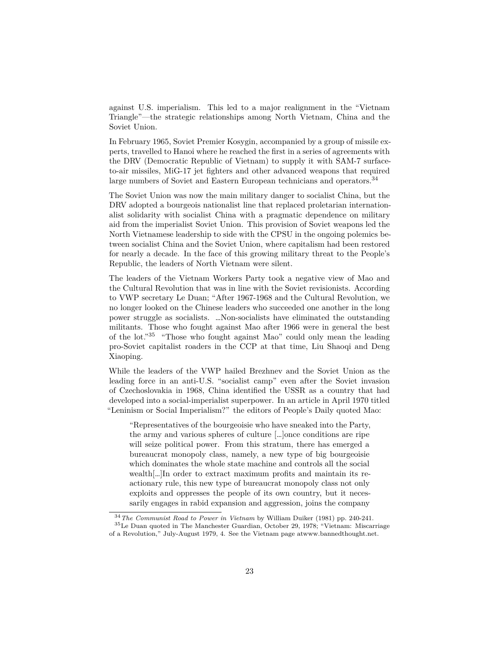against U.S. imperialism. This led to a major realignment in the "Vietnam Triangle"—the strategic relationships among North Vietnam, China and the Soviet Union.

In February 1965, Soviet Premier Kosygin, accompanied by a group of missile experts, travelled to Hanoi where he reached the first in a series of agreements with the DRV (Democratic Republic of Vietnam) to supply it with SAM-7 surfaceto-air missiles, MiG-17 jet fighters and other advanced weapons that required large numbers of Soviet and Eastern European technicians and operators.<sup>[34](#page-22-0)</sup>

The Soviet Union was now the main military danger to socialist China, but the DRV adopted a bourgeois nationalist line that replaced proletarian internationalist solidarity with socialist China with a pragmatic dependence on military aid from the imperialist Soviet Union. This provision of Soviet weapons led the North Vietnamese leadership to side with the CPSU in the ongoing polemics between socialist China and the Soviet Union, where capitalism had been restored for nearly a decade. In the face of this growing military threat to the People's Republic, the leaders of North Vietnam were silent.

The leaders of the Vietnam Workers Party took a negative view of Mao and the Cultural Revolution that was in line with the Soviet revisionists. According to VWP secretary Le Duan; "After 1967-1968 and the Cultural Revolution, we no longer looked on the Chinese leaders who succeeded one another in the long power struggle as socialists. …Non-socialists have eliminated the outstanding militants. Those who fought against Mao after 1966 were in general the best of the lot."[35](#page-22-1) "Those who fought against Mao" could only mean the leading pro-Soviet capitalist roaders in the CCP at that time, Liu Shaoqi and Deng Xiaoping.

While the leaders of the VWP hailed Brezhnev and the Soviet Union as the leading force in an anti-U.S. "socialist camp" even after the Soviet invasion of Czechoslovakia in 1968, China identified the USSR as a country that had developed into a social-imperialist superpower. In an article in April 1970 titled "Leninism or Social Imperialism?" the editors of People's Daily quoted Mao:

"Representatives of the bourgeoisie who have sneaked into the Party, the army and various spheres of culture […]once conditions are ripe will seize political power. From this stratum, there has emerged a bureaucrat monopoly class, namely, a new type of big bourgeoisie which dominates the whole state machine and controls all the social wealth[…]In order to extract maximum profits and maintain its reactionary rule, this new type of bureaucrat monopoly class not only exploits and oppresses the people of its own country, but it necessarily engages in rabid expansion and aggression, joins the company

<span id="page-22-1"></span><span id="page-22-0"></span><sup>34</sup>*The Communist Road to Power in Vietnam* by William Duiker (1981) pp. 240-241.

<sup>35</sup>Le Duan quoted in The Manchester Guardian, October 29, 1978; "Vietnam: Miscarriage of a Revolution," July-August 1979, 4. See the Vietnam page atwww.bannedthought.net.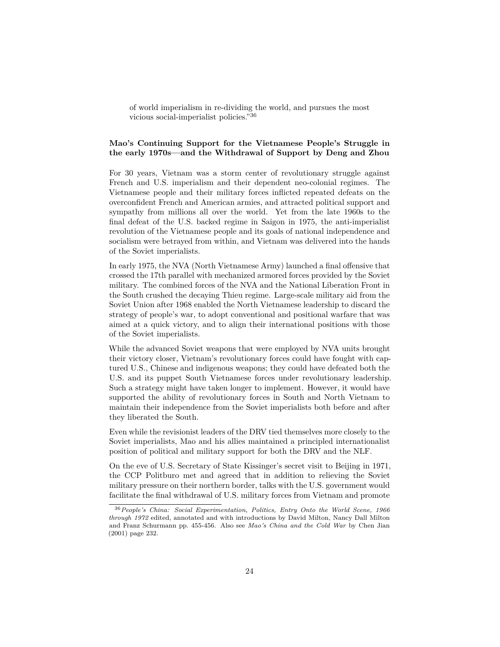of world imperialism in re-dividing the world, and pursues the most vicious social-imperialist policies."[36](#page-23-0)

# **Mao's Continuing Support for the Vietnamese People's Struggle in the early 1970s—and the Withdrawal of Support by Deng and Zhou**

For 30 years, Vietnam was a storm center of revolutionary struggle against French and U.S. imperialism and their dependent neo-colonial regimes. The Vietnamese people and their military forces inflicted repeated defeats on the overconfident French and American armies, and attracted political support and sympathy from millions all over the world. Yet from the late 1960s to the final defeat of the U.S. backed regime in Saigon in 1975, the anti-imperialist revolution of the Vietnamese people and its goals of national independence and socialism were betrayed from within, and Vietnam was delivered into the hands of the Soviet imperialists.

In early 1975, the NVA (North Vietnamese Army) launched a final offensive that crossed the 17th parallel with mechanized armored forces provided by the Soviet military. The combined forces of the NVA and the National Liberation Front in the South crushed the decaying Thieu regime. Large-scale military aid from the Soviet Union after 1968 enabled the North Vietnamese leadership to discard the strategy of people's war, to adopt conventional and positional warfare that was aimed at a quick victory, and to align their international positions with those of the Soviet imperialists.

While the advanced Soviet weapons that were employed by NVA units brought their victory closer, Vietnam's revolutionary forces could have fought with captured U.S., Chinese and indigenous weapons; they could have defeated both the U.S. and its puppet South Vietnamese forces under revolutionary leadership. Such a strategy might have taken longer to implement. However, it would have supported the ability of revolutionary forces in South and North Vietnam to maintain their independence from the Soviet imperialists both before and after they liberated the South.

Even while the revisionist leaders of the DRV tied themselves more closely to the Soviet imperialists, Mao and his allies maintained a principled internationalist position of political and military support for both the DRV and the NLF.

On the eve of U.S. Secretary of State Kissinger's secret visit to Beijing in 1971, the CCP Politburo met and agreed that in addition to relieving the Soviet military pressure on their northern border, talks with the U.S. government would facilitate the final withdrawal of U.S. military forces from Vietnam and promote

<span id="page-23-0"></span><sup>36</sup>*People's China: Social Experimentation, Politics, Entry Onto the World Scene, 1966 through 1972* edited, annotated and with introductions by David Milton, Nancy Dall Milton and Franz Schurmann pp. 455-456. Also see *Mao's China and the Cold War* by Chen Jian (2001) page 232.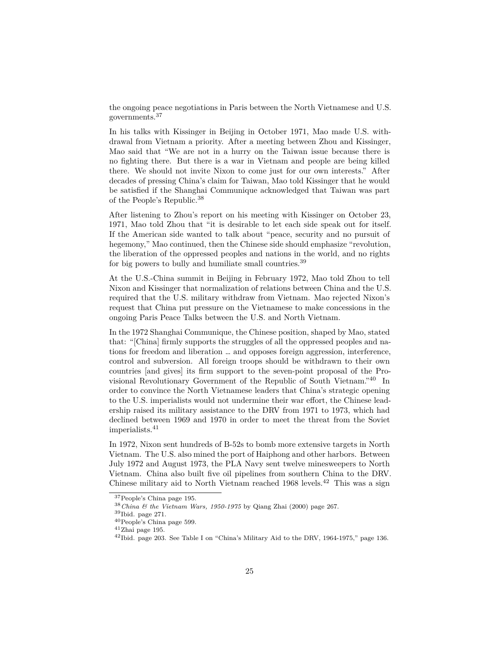the ongoing peace negotiations in Paris between the North Vietnamese and U.S. governments.[37](#page-24-0)

In his talks with Kissinger in Beijing in October 1971, Mao made U.S. withdrawal from Vietnam a priority. After a meeting between Zhou and Kissinger, Mao said that "We are not in a hurry on the Taiwan issue because there is no fighting there. But there is a war in Vietnam and people are being killed there. We should not invite Nixon to come just for our own interests." After decades of pressing China's claim for Taiwan, Mao told Kissinger that he would be satisfied if the Shanghai Communique acknowledged that Taiwan was part of the People's Republic.[38](#page-24-1)

After listening to Zhou's report on his meeting with Kissinger on October 23, 1971, Mao told Zhou that "it is desirable to let each side speak out for itself. If the American side wanted to talk about "peace, security and no pursuit of hegemony," Mao continued, then the Chinese side should emphasize "revolution, the liberation of the oppressed peoples and nations in the world, and no rights for big powers to bully and humiliate small countries.[39](#page-24-2)

At the U.S.-China summit in Beijing in February 1972, Mao told Zhou to tell Nixon and Kissinger that normalization of relations between China and the U.S. required that the U.S. military withdraw from Vietnam. Mao rejected Nixon's request that China put pressure on the Vietnamese to make concessions in the ongoing Paris Peace Talks between the U.S. and North Vietnam.

In the 1972 Shanghai Communique, the Chinese position, shaped by Mao, stated that: "[China] firmly supports the struggles of all the oppressed peoples and nations for freedom and liberation … and opposes foreign aggression, interference, control and subversion. All foreign troops should be withdrawn to their own countries [and gives] its firm support to the seven-point proposal of the Provisional Revolutionary Government of the Republic of South Vietnam."[40](#page-24-3) In order to convince the North Vietnamese leaders that China's strategic opening to the U.S. imperialists would not undermine their war effort, the Chinese leadership raised its military assistance to the DRV from 1971 to 1973, which had declined between 1969 and 1970 in order to meet the threat from the Soviet imperialists.[41](#page-24-4)

In 1972, Nixon sent hundreds of B-52s to bomb more extensive targets in North Vietnam. The U.S. also mined the port of Haiphong and other harbors. Between July 1972 and August 1973, the PLA Navy sent twelve minesweepers to North Vietnam. China also built five oil pipelines from southern China to the DRV. Chinese military aid to North Vietnam reached  $1968$  levels.<sup>[42](#page-24-5)</sup> This was a sign

<span id="page-24-0"></span><sup>37</sup>People's China page 195.

<span id="page-24-1"></span><sup>38</sup>*China & the Vietnam Wars, 1950-1975* by Qiang Zhai (2000) page 267.

<span id="page-24-2"></span> $39$ Ibid. page 271.

<span id="page-24-3"></span><sup>40</sup>People's China page 599.

<span id="page-24-4"></span> $^{41}\rm{Zhai}$  page 195.

<span id="page-24-5"></span><sup>42</sup>Ibid. page 203. See Table I on "China's Military Aid to the DRV, 1964-1975," page 136.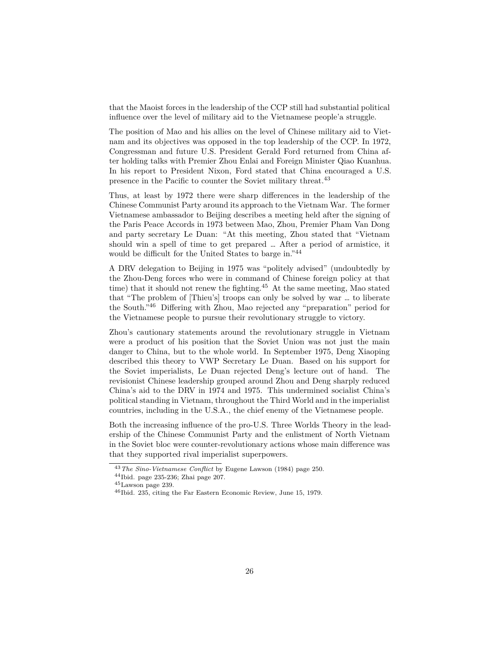that the Maoist forces in the leadership of the CCP still had substantial political influence over the level of military aid to the Vietnamese people'a struggle.

The position of Mao and his allies on the level of Chinese military aid to Vietnam and its objectives was opposed in the top leadership of the CCP. In 1972, Congressman and future U.S. President Gerald Ford returned from China after holding talks with Premier Zhou Enlai and Foreign Minister Qiao Kuanhua. In his report to President Nixon, Ford stated that China encouraged a U.S. presence in the Pacific to counter the Soviet military threat.[43](#page-25-0)

Thus, at least by 1972 there were sharp differences in the leadership of the Chinese Communist Party around its approach to the Vietnam War. The former Vietnamese ambassador to Beijing describes a meeting held after the signing of the Paris Peace Accords in 1973 between Mao, Zhou, Premier Pham Van Dong and party secretary Le Duan: "At this meeting, Zhou stated that "Vietnam should win a spell of time to get prepared … After a period of armistice, it would be difficult for the United States to barge in."[44](#page-25-1)

A DRV delegation to Beijing in 1975 was "politely advised" (undoubtedly by the Zhou-Deng forces who were in command of Chinese foreign policy at that time) that it should not renew the fighting.[45](#page-25-2) At the same meeting, Mao stated that "The problem of [Thieu's] troops can only be solved by war … to liberate the South."[46](#page-25-3) Differing with Zhou, Mao rejected any "preparation" period for the Vietnamese people to pursue their revolutionary struggle to victory.

Zhou's cautionary statements around the revolutionary struggle in Vietnam were a product of his position that the Soviet Union was not just the main danger to China, but to the whole world. In September 1975, Deng Xiaoping described this theory to VWP Secretary Le Duan. Based on his support for the Soviet imperialists, Le Duan rejected Deng's lecture out of hand. The revisionist Chinese leadership grouped around Zhou and Deng sharply reduced China's aid to the DRV in 1974 and 1975. This undermined socialist China's political standing in Vietnam, throughout the Third World and in the imperialist countries, including in the U.S.A., the chief enemy of the Vietnamese people.

Both the increasing influence of the pro-U.S. Three Worlds Theory in the leadership of the Chinese Communist Party and the enlistment of North Vietnam in the Soviet bloc were counter-revolutionary actions whose main difference was that they supported rival imperialist superpowers.

<span id="page-25-0"></span><sup>43</sup>*The Sino-Vietnamese Conflict* by Eugene Lawson (1984) page 250.

<span id="page-25-1"></span><sup>44</sup>Ibid. page 235-236; Zhai page 207.

<span id="page-25-2"></span> $^{45}\rm{Lawson}$  page 239.

<span id="page-25-3"></span><sup>46</sup>Ibid. 235, citing the Far Eastern Economic Review, June 15, 1979.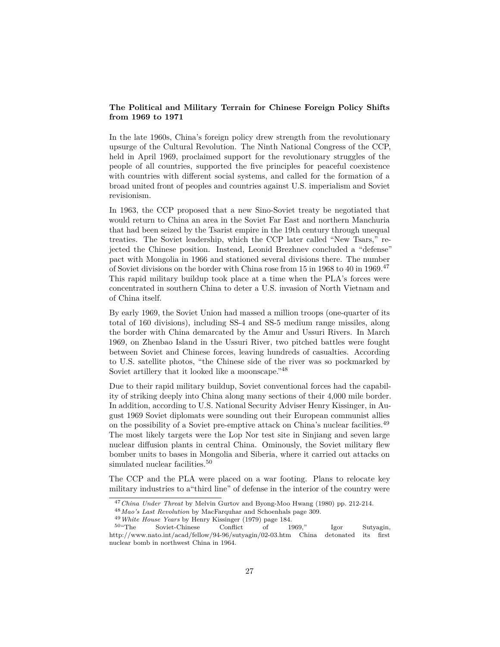# **The Political and Military Terrain for Chinese Foreign Policy Shifts from 1969 to 1971**

In the late 1960s, China's foreign policy drew strength from the revolutionary upsurge of the Cultural Revolution. The Ninth National Congress of the CCP, held in April 1969, proclaimed support for the revolutionary struggles of the people of all countries, supported the five principles for peaceful coexistence with countries with different social systems, and called for the formation of a broad united front of peoples and countries against U.S. imperialism and Soviet revisionism.

In 1963, the CCP proposed that a new Sino-Soviet treaty be negotiated that would return to China an area in the Soviet Far East and northern Manchuria that had been seized by the Tsarist empire in the 19th century through unequal treaties. The Soviet leadership, which the CCP later called "New Tsars," rejected the Chinese position. Instead, Leonid Brezhnev concluded a "defense" pact with Mongolia in 1966 and stationed several divisions there. The number of Soviet divisions on the border with China rose from 15 in 1968 to 40 in 1969.<sup>[47](#page-26-0)</sup> This rapid military buildup took place at a time when the PLA's forces were concentrated in southern China to deter a U.S. invasion of North Vietnam and of China itself.

By early 1969, the Soviet Union had massed a million troops (one-quarter of its total of 160 divisions), including SS-4 and SS-5 medium range missiles, along the border with China demarcated by the Amur and Ussuri Rivers. In March 1969, on Zhenbao Island in the Ussuri River, two pitched battles were fought between Soviet and Chinese forces, leaving hundreds of casualties. According to U.S. satellite photos, "the Chinese side of the river was so pockmarked by Soviet artillery that it looked like a moonscape."[48](#page-26-1)

Due to their rapid military buildup, Soviet conventional forces had the capability of striking deeply into China along many sections of their 4,000 mile border. In addition, according to U.S. National Security Adviser Henry Kissinger, in August 1969 Soviet diplomats were sounding out their European communist allies on the possibility of a Soviet pre-emptive attack on China's nuclear facilities.[49](#page-26-2) The most likely targets were the Lop Nor test site in Sinjiang and seven large nuclear diffusion plants in central China. Ominously, the Soviet military flew bomber units to bases in Mongolia and Siberia, where it carried out attacks on simulated nuclear facilities.<sup>[50](#page-26-3)</sup>

The CCP and the PLA were placed on a war footing. Plans to relocate key military industries to a"third line" of defense in the interior of the country were

<span id="page-26-0"></span><sup>47</sup>*China Under Threat* by Melvin Gurtov and Byong-Moo Hwang (1980) pp. 212-214.

<span id="page-26-1"></span><sup>48</sup>*Mao's Last Revolution* by MacFarquhar and Schoenhals page 309.

<span id="page-26-3"></span><span id="page-26-2"></span><sup>49</sup>*White House Years* by Henry Kissinger (1979) page 184.

Soviet-Chinese Conflict of 1969," Igor Sutyagin, http://www.nato.int/acad/fellow/94-96/sutyagin/02-03.htm China detonated its first nuclear bomb in northwest China in 1964.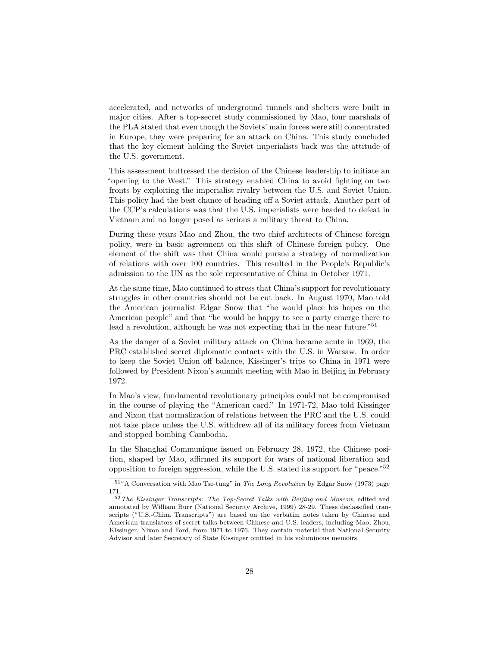accelerated, and networks of underground tunnels and shelters were built in major cities. After a top-secret study commissioned by Mao, four marshals of the PLA stated that even though the Soviets' main forces were still concentrated in Europe, they were preparing for an attack on China. This study concluded that the key element holding the Soviet imperialists back was the attitude of the U.S. government.

This assessment buttressed the decision of the Chinese leadership to initiate an "opening to the West." This strategy enabled China to avoid fighting on two fronts by exploiting the imperialist rivalry between the U.S. and Soviet Union. This policy had the best chance of heading off a Soviet attack. Another part of the CCP's calculations was that the U.S. imperialists were headed to defeat in Vietnam and no longer posed as serious a military threat to China.

During these years Mao and Zhou, the two chief architects of Chinese foreign policy, were in basic agreement on this shift of Chinese foreign policy. One element of the shift was that China would pursue a strategy of normalization of relations with over 100 countries. This resulted in the People's Republic's admission to the UN as the sole representative of China in October 1971.

At the same time, Mao continued to stress that China's support for revolutionary struggles in other countries should not be cut back. In August 1970, Mao told the American journalist Edgar Snow that "he would place his hopes on the American people" and that "he would be happy to see a party emerge there to lead a revolution, although he was not expecting that in the near future.<sup>"[51](#page-27-0)</sup>

As the danger of a Soviet military attack on China became acute in 1969, the PRC established secret diplomatic contacts with the U.S. in Warsaw. In order to keep the Soviet Union off balance, Kissinger's trips to China in 1971 were followed by President Nixon's summit meeting with Mao in Beijing in February 1972.

In Mao's view, fundamental revolutionary principles could not be compromised in the course of playing the "American card." In 1971-72, Mao told Kissinger and Nixon that normalization of relations between the PRC and the U.S. could not take place unless the U.S. withdrew all of its military forces from Vietnam and stopped bombing Cambodia.

In the Shanghai Communique issued on February 28, 1972, the Chinese position, shaped by Mao, affirmed its support for wars of national liberation and opposition to foreign aggression, while the U.S. stated its support for "peace."[52](#page-27-1)

<span id="page-27-0"></span><sup>51</sup>"A Conversation with Mao Tse-tung" in *The Long Revolution* by Edgar Snow (1973) page 171.

<span id="page-27-1"></span><sup>52</sup>*The Kissinger Transcripts: The Top-Secret Talks with Beijing and Moscow*, edited and annotated by William Burr (National Security Archive, 1999) 28-29. These declassified transcripts ("U.S.-China Transcripts") are based on the verbatim notes taken by Chinese and American translators of secret talks between Chinese and U.S. leaders, including Mao, Zhou, Kissinger, Nixon and Ford, from 1971 to 1976. They contain material that National Security Advisor and later Secretary of State Kissinger omitted in his voluminous memoirs.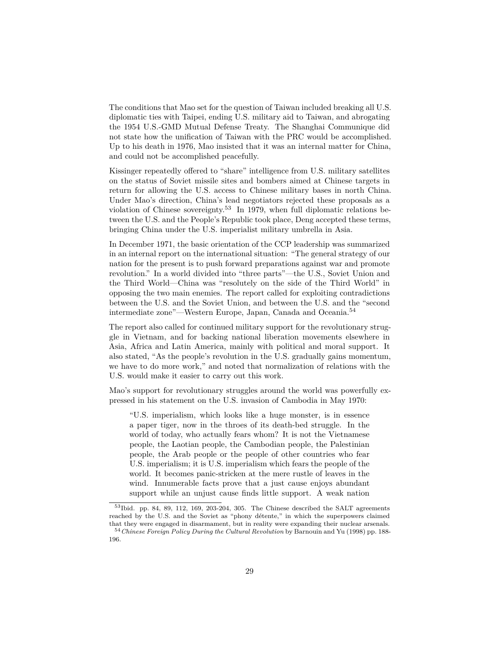The conditions that Mao set for the question of Taiwan included breaking all U.S. diplomatic ties with Taipei, ending U.S. military aid to Taiwan, and abrogating the 1954 U.S.-GMD Mutual Defense Treaty. The Shanghai Communique did not state how the unification of Taiwan with the PRC would be accomplished. Up to his death in 1976, Mao insisted that it was an internal matter for China, and could not be accomplished peacefully.

Kissinger repeatedly offered to "share" intelligence from U.S. military satellites on the status of Soviet missile sites and bombers aimed at Chinese targets in return for allowing the U.S. access to Chinese military bases in north China. Under Mao's direction, China's lead negotiators rejected these proposals as a violation of Chinese sovereignty.<sup>[53](#page-28-0)</sup> In 1979, when full diplomatic relations between the U.S. and the People's Republic took place, Deng accepted these terms, bringing China under the U.S. imperialist military umbrella in Asia.

In December 1971, the basic orientation of the CCP leadership was summarized in an internal report on the international situation: "The general strategy of our nation for the present is to push forward preparations against war and promote revolution." In a world divided into "three parts"—the U.S., Soviet Union and the Third World—China was "resolutely on the side of the Third World" in opposing the two main enemies. The report called for exploiting contradictions between the U.S. and the Soviet Union, and between the U.S. and the "second intermediate zone"—Western Europe, Japan, Canada and Oceania.[54](#page-28-1)

The report also called for continued military support for the revolutionary struggle in Vietnam, and for backing national liberation movements elsewhere in Asia, Africa and Latin America, mainly with political and moral support. It also stated, "As the people's revolution in the U.S. gradually gains momentum, we have to do more work," and noted that normalization of relations with the U.S. would make it easier to carry out this work.

Mao's support for revolutionary struggles around the world was powerfully expressed in his statement on the U.S. invasion of Cambodia in May 1970:

"U.S. imperialism, which looks like a huge monster, is in essence a paper tiger, now in the throes of its death-bed struggle. In the world of today, who actually fears whom? It is not the Vietnamese people, the Laotian people, the Cambodian people, the Palestinian people, the Arab people or the people of other countries who fear U.S. imperialism; it is U.S. imperialism which fears the people of the world. It becomes panic-stricken at the mere rustle of leaves in the wind. Innumerable facts prove that a just cause enjoys abundant support while an unjust cause finds little support. A weak nation

<span id="page-28-0"></span><sup>53</sup>Ibid. pp. 84, 89, 112, 169, 203-204, 305. The Chinese described the SALT agreements reached by the U.S. and the Soviet as "phony détente," in which the superpowers claimed that they were engaged in disarmament, but in reality were expanding their nuclear arsenals.

<span id="page-28-1"></span><sup>54</sup>*Chinese Foreign Policy During the Cultural Revolution* by Barnouin and Yu (1998) pp. 188- 196.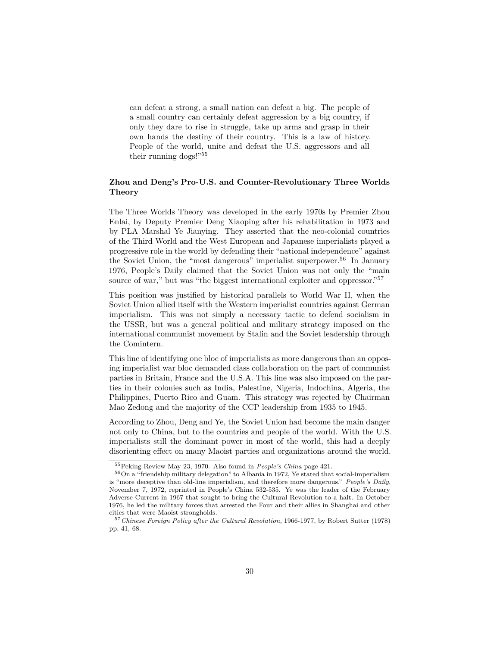can defeat a strong, a small nation can defeat a big. The people of a small country can certainly defeat aggression by a big country, if only they dare to rise in struggle, take up arms and grasp in their own hands the destiny of their country. This is a law of history. People of the world, unite and defeat the U.S. aggressors and all their running dogs!"[55](#page-29-0)

## **Zhou and Deng's Pro-U.S. and Counter-Revolutionary Three Worlds Theory**

The Three Worlds Theory was developed in the early 1970s by Premier Zhou Enlai, by Deputy Premier Deng Xiaoping after his rehabilitation in 1973 and by PLA Marshal Ye Jianying. They asserted that the neo-colonial countries of the Third World and the West European and Japanese imperialists played a progressive role in the world by defending their "national independence" against the Soviet Union, the "most dangerous" imperialist superpower.<sup>[56](#page-29-1)</sup> In January 1976, People's Daily claimed that the Soviet Union was not only the "main source of war," but was "the biggest international exploiter and oppressor."<sup>[57](#page-29-2)</sup>

This position was justified by historical parallels to World War II, when the Soviet Union allied itself with the Western imperialist countries against German imperialism. This was not simply a necessary tactic to defend socialism in the USSR, but was a general political and military strategy imposed on the international communist movement by Stalin and the Soviet leadership through the Comintern.

This line of identifying one bloc of imperialists as more dangerous than an opposing imperialist war bloc demanded class collaboration on the part of communist parties in Britain, France and the U.S.A. This line was also imposed on the parties in their colonies such as India, Palestine, Nigeria, Indochina, Algeria, the Philippines, Puerto Rico and Guam. This strategy was rejected by Chairman Mao Zedong and the majority of the CCP leadership from 1935 to 1945.

According to Zhou, Deng and Ye, the Soviet Union had become the main danger not only to China, but to the countries and people of the world. With the U.S. imperialists still the dominant power in most of the world, this had a deeply disorienting effect on many Maoist parties and organizations around the world.

<span id="page-29-1"></span><span id="page-29-0"></span><sup>55</sup>Peking Review May 23, 1970. Also found in *People's China* page 421.

<sup>56</sup>On a "friendship military delegation" to Albania in 1972, Ye stated that social-imperialism is "more deceptive than old-line imperialism, and therefore more dangerous." *People's Daily*, November 7, 1972, reprinted in People's China 532-535. Ye was the leader of the February Adverse Current in 1967 that sought to bring the Cultural Revolution to a halt. In October 1976, he led the military forces that arrested the Four and their allies in Shanghai and other cities that were Maoist strongholds.

<span id="page-29-2"></span><sup>57</sup>*Chinese Foreign Policy after the Cultural Revolution*, 1966-1977, by Robert Sutter (1978) pp. 41, 68.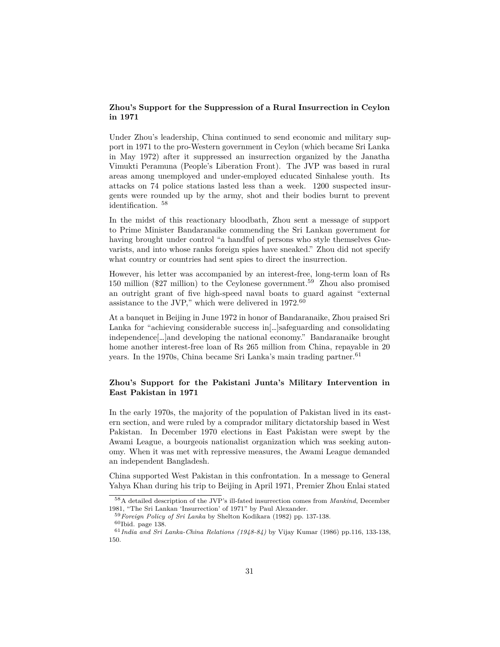# **Zhou's Support for the Suppression of a Rural Insurrection in Ceylon in 1971**

Under Zhou's leadership, China continued to send economic and military support in 1971 to the pro-Western government in Ceylon (which became Sri Lanka in May 1972) after it suppressed an insurrection organized by the Janatha Vimukti Peramuna (People's Liberation Front). The JVP was based in rural areas among unemployed and under-employed educated Sinhalese youth. Its attacks on 74 police stations lasted less than a week. 1200 suspected insurgents were rounded up by the army, shot and their bodies burnt to prevent identification. [58](#page-30-0)

In the midst of this reactionary bloodbath, Zhou sent a message of support to Prime Minister Bandaranaike commending the Sri Lankan government for having brought under control "a handful of persons who style themselves Guevarists, and into whose ranks foreign spies have sneaked." Zhou did not specify what country or countries had sent spies to direct the insurrection.

However, his letter was accompanied by an interest-free, long-term loan of Rs 150 million (\$27 million) to the Ceylonese government.[59](#page-30-1) Zhou also promised an outright grant of five high-speed naval boats to guard against "external assistance to the JVP," which were delivered in 1972.[60](#page-30-2)

At a banquet in Beijing in June 1972 in honor of Bandaranaike, Zhou praised Sri Lanka for "achieving considerable success  $\text{in}$ ...]safeguarding and consolidating independence[…]and developing the national economy." Bandaranaike brought home another interest-free loan of Rs 265 million from China, repayable in 20 years. In the 1970s, China became Sri Lanka's main trading partner.<sup>[61](#page-30-3)</sup>

# **Zhou's Support for the Pakistani Junta's Military Intervention in East Pakistan in 1971**

In the early 1970s, the majority of the population of Pakistan lived in its eastern section, and were ruled by a comprador military dictatorship based in West Pakistan. In December 1970 elections in East Pakistan were swept by the Awami League, a bourgeois nationalist organization which was seeking autonomy. When it was met with repressive measures, the Awami League demanded an independent Bangladesh.

China supported West Pakistan in this confrontation. In a message to General Yahya Khan during his trip to Beijing in April 1971, Premier Zhou Enlai stated

<span id="page-30-0"></span><sup>58</sup>A detailed description of the JVP's ill-fated insurrection comes from *Mankind*, December 1981, "The Sri Lankan 'Insurrection' of 1971" by Paul Alexander.

<span id="page-30-2"></span><span id="page-30-1"></span><sup>59</sup>*Foreign Policy of Sri Lanka* by Shelton Kodikara (1982) pp. 137-138.  $60$ Ibid. page 138.

<span id="page-30-3"></span><sup>61</sup>*India and Sri Lanka-China Relations (1948-84)* by Vijay Kumar (1986) pp.116, 133-138, 150.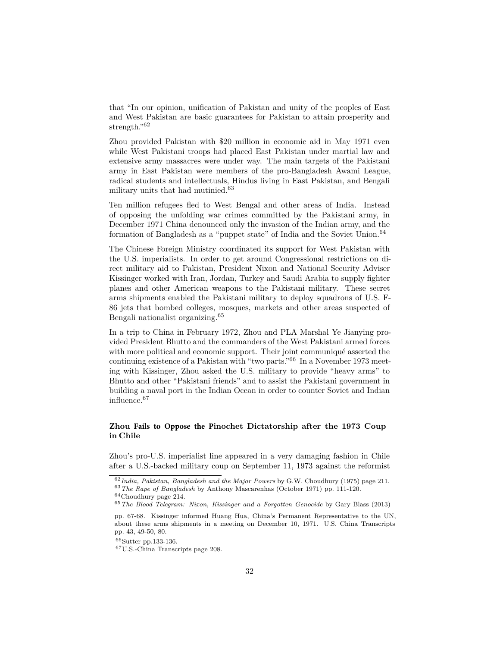that "In our opinion, unification of Pakistan and unity of the peoples of East and West Pakistan are basic guarantees for Pakistan to attain prosperity and strength."<sup>[62](#page-31-0)</sup>

Zhou provided Pakistan with \$20 million in economic aid in May 1971 even while West Pakistani troops had placed East Pakistan under martial law and extensive army massacres were under way. The main targets of the Pakistani army in East Pakistan were members of the pro-Bangladesh Awami League, radical students and intellectuals, Hindus living in East Pakistan, and Bengali military units that had mutinied.[63](#page-31-1)

Ten million refugees fled to West Bengal and other areas of India. Instead of opposing the unfolding war crimes committed by the Pakistani army, in December 1971 China denounced only the invasion of the Indian army, and the formation of Bangladesh as a "puppet state" of India and the Soviet Union.<sup>[64](#page-31-2)</sup>

The Chinese Foreign Ministry coordinated its support for West Pakistan with the U.S. imperialists. In order to get around Congressional restrictions on direct military aid to Pakistan, President Nixon and National Security Adviser Kissinger worked with Iran, Jordan, Turkey and Saudi Arabia to supply fighter planes and other American weapons to the Pakistani military. These secret arms shipments enabled the Pakistani military to deploy squadrons of U.S. F-86 jets that bombed colleges, mosques, markets and other areas suspected of Bengali nationalist organizing.[65](#page-31-3)

In a trip to China in February 1972, Zhou and PLA Marshal Ye Jianying provided President Bhutto and the commanders of the West Pakistani armed forces with more political and economic support. Their joint communiqué asserted the continuing existence of a Pakistan with "two parts."[66](#page-31-4) In a November 1973 meeting with Kissinger, Zhou asked the U.S. military to provide "heavy arms" to Bhutto and other "Pakistani friends" and to assist the Pakistani government in building a naval port in the Indian Ocean in order to counter Soviet and Indian influence.[67](#page-31-5)

#### **Zhou Fails to Oppose the Pinochet Dictatorship after the 1973 Coup in Chile**

Zhou's pro-U.S. imperialist line appeared in a very damaging fashion in Chile after a U.S.-backed military coup on September 11, 1973 against the reformist

<span id="page-31-1"></span><span id="page-31-0"></span><sup>62</sup>*India, Pakistan, Bangladesh and the Major Powers* by G.W. Choudhury (1975) page 211. <sup>63</sup>*The Rape of Bangladesh* by Anthony Mascarenhas (October 1971) pp. 111-120.  $64$ Choudhury page 214.

<span id="page-31-2"></span>

<span id="page-31-3"></span><sup>65</sup>*The Blood Telegram: Nixon, Kissinger and a Forgotten Genocide* by Gary Blass (2013)

pp. 67-68. Kissinger informed Huang Hua, China's Permanent Representative to the UN, about these arms shipments in a meeting on December 10, 1971. U.S. China Transcripts pp. 43, 49-50, 80.

<span id="page-31-5"></span><span id="page-31-4"></span><sup>66</sup>Sutter pp.133-136.

<sup>67</sup>U.S.-China Transcripts page 208.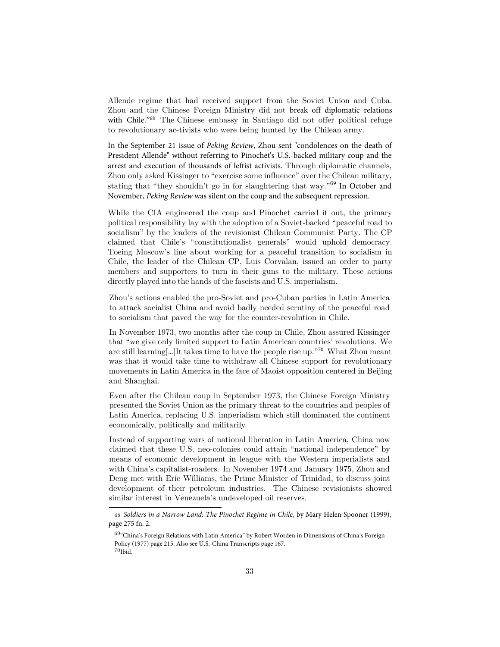Allende regime that had received support from the Soviet Union and Cuba. Zhou and the Chinese Foreign Ministry did not break off diplomatic relations with Chile." <sup>68</sup> The Chinese embassy in Santiago did not offer political refuge to revolutionary ac-tivists who were being hunted by the Chilean army.

In the September 21 issue of *Peking Review*, Zhou sent "condolences on the death of President Allende" without referring to Pinochet's U.S.-backed military coup and the arrest and execution of thousands of leftist activists. Through diplomatic channels, Zhou only asked Kissinger to "exercise some influence" over the Chilean military, stating that "they shouldn't go in for slaughtering that way."<sup>69</sup> In October and November, *Peking Review* [w](#page-32-0)as silent on the coup and the subsequent repression.

While the CIA engineered the coup and Pinochet carried it out, the primary political responsibility lay with the adoption of a Soviet-backed "peaceful road to socialism" by the leaders of the revisionist Chilean Communist Party. The CP claimed that Chile's "constitutionalist generals" would uphold democracy. Toeing Moscow's line about working for a peaceful transition to socialism in Chile, the leader of the Chilean CP, Luis Corvalan, issued an order to party members and supporters to turn in their guns to the military. These actions directly played into the hands of the fascists and U.S. imperialism.

Zhou's actions enabled the pro-Soviet and pro-Cuban parties in Latin America to attack socialist China and avoid badly needed scrutiny of the peaceful road to socialism that paved the way for the counter-revolution in Chile.

In November 1973, two months after the coup in Chile, Zhou assured Kissinger that "we give only limited support to Latin American countries' revolutions. We are still learning[…]It takes time to have the people rise up."[70](#page-32-1) What Zhou meant was that it would take time to withdraw all Chinese support for revolutionary movements in Latin America in the face of Maoist opposition centered in Beijing and Shanghai.

Even after the Chilean coup in September 1973, the Chinese Foreign Ministry presented the Soviet Union as the primary threat to the countries and peoples of Latin America, replacing U.S. imperialism which still dominated the continent economically, politically and militarily.

Instead of supporting wars of national liberation in Latin America, China now claimed that these U.S. neo-colonies could attain "national independence" by means of economic development in league with the Western imperialists and with China's capitalist-roaders. In November 1974 and January 1975, Zhou and Deng met with Eric Williams, the Prime Minister of Trinidad, to discuss joint development of their petroleum industries. The Chi[nes](#page-32-2)e revisionists showed similar interest in Venezuela's undeveloped oil reserves.

<span id="page-32-0"></span><sup>68</sup> *Soldiers in a Narrow Land: The Pinochet Regime in Chile*, by Mary Helen Spooner (1999), page 275 fn. 2.

<span id="page-32-2"></span><span id="page-32-1"></span><sup>69</sup>"China's Foreign Relations with Latin America" by Robert Worden in Dimensions of China's Foreign Policy (1977) page 215. Also see U.S.-China Transcripts page 167.  $70$ Ibid.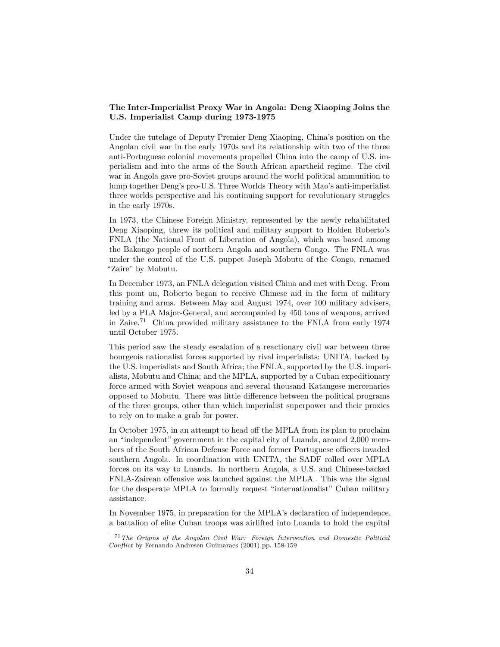# **The Inter-Imperialist Proxy War in Angola: Deng Xiaoping Joins the U.S. Imperialist Camp during 1973-1975**

Under the tutelage of Deputy Premier Deng Xiaoping, China's position on the Angolan civil war in the early 1970s and its relationship with two of the three anti-Portuguese colonial movements propelled China into the camp of U.S. imperialism and into the arms of the South African apartheid regime. The civil war in Angola gave pro-Soviet groups around the world political ammunition to lump together Deng's pro-U.S. Three Worlds Theory with Mao's anti-imperialist three worlds perspective and his continuing support for revolutionary struggles in the early 1970s.

In 1973, the Chinese Foreign Ministry, represented by the newly rehabilitated Deng Xiaoping, threw its political and military support to Holden Roberto's FNLA (the National Front of Liberation of Angola), which was based among the Bakongo people of northern Angola and southern Congo. The FNLA was under the control of the U.S. puppet Joseph Mobutu of the Congo, renamed "Zaire" by Mobutu.

In December 1973, an FNLA delegation visited China and met with Deng. From this point on, Roberto began to receive Chinese aid in the form of military training and arms. Between May and August 1974, over 100 military advisers, led by a PLA Major-General, and accompanied by 450 tons of weapons, arrived in Zaire.[71](#page-33-0) China provided military assistance to the FNLA from early 1974 until October 1975.

This period saw the steady escalation of a reactionary civil war between three bourgeois nationalist forces supported by rival imperialists: UNITA, backed by the U.S. imperialists and South Africa; the FNLA, supported by the U.S. imperialists, Mobutu and China; and the MPLA, supported by a Cuban expeditionary force armed with Soviet weapons and several thousand Katangese mercenaries opposed to Mobutu. There was little difference between the political programs of the three groups, other than which imperialist superpower and their proxies to rely on to make a grab for power.

In October 1975, in an attempt to head off the MPLA from its plan to proclaim an "independent" government in the capital city of Luanda, around 2,000 members of the South African Defense Force and former Portuguese officers invaded southern Angola. In coordination with UNITA, the SADF rolled over MPLA forces on its way to Luanda. In northern Angola, a U.S. and Chinese-backed FNLA-Zairean offensive was launched against the MPLA . This was the signal for the desperate MPLA to formally request "internationalist" Cuban military assistance.

In November 1975, in preparation for the MPLA's declaration of independence, a battalion of elite Cuban troops was airlifted into Luanda to hold the capital

<span id="page-33-0"></span><sup>71</sup>*The Origins of the Angolan Civil War: Foreign Intervention and Domestic Political Conflict* by Fernando Andresen Guimaraes (2001) pp. 158-159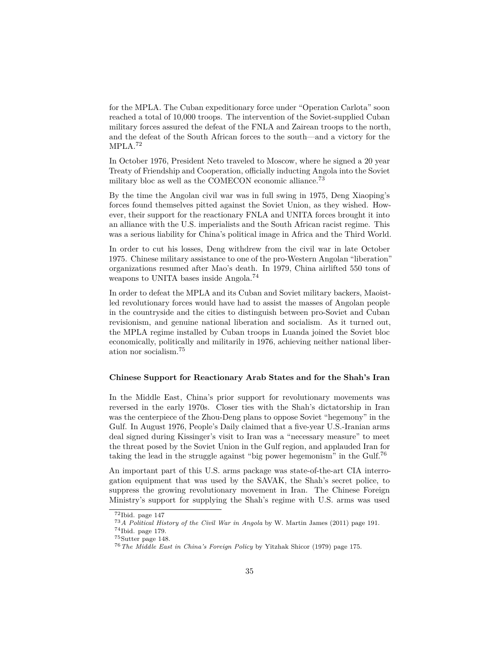for the MPLA. The Cuban expeditionary force under "Operation Carlota" soon reached a total of 10,000 troops. The intervention of the Soviet-supplied Cuban military forces assured the defeat of the FNLA and Zairean troops to the north, and the defeat of the South African forces to the south—and a victory for the MPLA.[72](#page-34-0)

In October 1976, President Neto traveled to Moscow, where he signed a 20 year Treaty of Friendship and Cooperation, officially inducting Angola into the Soviet military bloc as well as the COMECON economic alliance.<sup>[73](#page-34-1)</sup>

By the time the Angolan civil war was in full swing in 1975, Deng Xiaoping's forces found themselves pitted against the Soviet Union, as they wished. However, their support for the reactionary FNLA and UNITA forces brought it into an alliance with the U.S. imperialists and the South African racist regime. This was a serious liability for China's political image in Africa and the Third World.

In order to cut his losses, Deng withdrew from the civil war in late October 1975. Chinese military assistance to one of the pro-Western Angolan "liberation" organizations resumed after Mao's death. In 1979, China airlifted 550 tons of weapons to UNITA bases inside Angola.[74](#page-34-2)

In order to defeat the MPLA and its Cuban and Soviet military backers, Maoistled revolutionary forces would have had to assist the masses of Angolan people in the countryside and the cities to distinguish between pro-Soviet and Cuban revisionism, and genuine national liberation and socialism. As it turned out, the MPLA regime installed by Cuban troops in Luanda joined the Soviet bloc economically, politically and militarily in 1976, achieving neither national liberation nor socialism.[75](#page-34-3)

#### **Chinese Support for Reactionary Arab States and for the Shah's Iran**

In the Middle East, China's prior support for revolutionary movements was reversed in the early 1970s. Closer ties with the Shah's dictatorship in Iran was the centerpiece of the Zhou-Deng plans to oppose Soviet "hegemony" in the Gulf. In August 1976, People's Daily claimed that a five-year U.S.-Iranian arms deal signed during Kissinger's visit to Iran was a "necessary measure" to meet the threat posed by the Soviet Union in the Gulf region, and applauded Iran for taking the lead in the struggle against "big power hegemonism" in the Gulf.[76](#page-34-4)

An important part of this U.S. arms package was state-of-the-art CIA interrogation equipment that was used by the SAVAK, the Shah's secret police, to suppress the growing revolutionary movement in Iran. The Chinese Foreign Ministry's support for supplying the Shah's regime with U.S. arms was used

<span id="page-34-0"></span> $72$ Ibid. page 147

<span id="page-34-1"></span><sup>73</sup>*A Political History of the Civil War in Angola* by W. Martin James (2011) page 191.

<span id="page-34-2"></span> $74$ Ibid. page 179.

<span id="page-34-3"></span><sup>75</sup>Sutter page 148.

<span id="page-34-4"></span><sup>76</sup>*The Middle East in China's Foreign Policy* by Yitzhak Shicor (1979) page 175.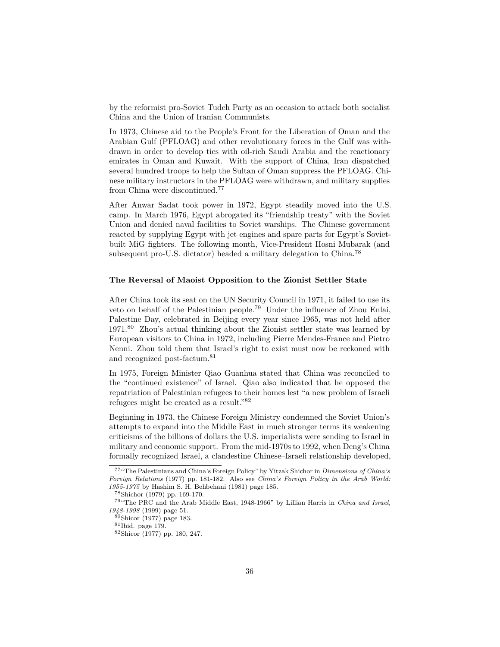by the reformist pro-Soviet Tudeh Party as an occasion to attack both socialist China and the Union of Iranian Communists.

In 1973, Chinese aid to the People's Front for the Liberation of Oman and the Arabian Gulf (PFLOAG) and other revolutionary forces in the Gulf was withdrawn in order to develop ties with oil-rich Saudi Arabia and the reactionary emirates in Oman and Kuwait. With the support of China, Iran dispatched several hundred troops to help the Sultan of Oman suppress the PFLOAG. Chinese military instructors in the PFLOAG were withdrawn, and military supplies from China were discontinued.[77](#page-35-0)

After Anwar Sadat took power in 1972, Egypt steadily moved into the U.S. camp. In March 1976, Egypt abrogated its "friendship treaty" with the Soviet Union and denied naval facilities to Soviet warships. The Chinese government reacted by supplying Egypt with jet engines and spare parts for Egypt's Sovietbuilt MiG fighters. The following month, Vice-President Hosni Mubarak (and subsequent pro-U.S. dictator) headed a military delegation to China.<sup>[78](#page-35-1)</sup>

#### **The Reversal of Maoist Opposition to the Zionist Settler State**

After China took its seat on the UN Security Council in 1971, it failed to use its veto on behalf of the Palestinian people.[79](#page-35-2) Under the influence of Zhou Enlai, Palestine Day, celebrated in Beijing every year since 1965, was not held after 1971.[80](#page-35-3) Zhou's actual thinking about the Zionist settler state was learned by European visitors to China in 1972, including Pierre Mendes-France and Pietro Nenni. Zhou told them that Israel's right to exist must now be reckoned with and recognized post-factum.[81](#page-35-4)

In 1975, Foreign Minister Qiao Guanhua stated that China was reconciled to the "continued existence" of Israel. Qiao also indicated that he opposed the repatriation of Palestinian refugees to their homes lest "a new problem of Israeli refugees might be created as a result."[82](#page-35-5)

Beginning in 1973, the Chinese Foreign Ministry condemned the Soviet Union's attempts to expand into the Middle East in much stronger terms its weakening criticisms of the billions of dollars the U.S. imperialists were sending to Israel in military and economic support. From the mid-1970s to 1992, when Deng's China formally recognized Israel, a clandestine Chinese–Israeli relationship developed,

<span id="page-35-0"></span><sup>77</sup>"The Palestinians and China's Foreign Policy" by Yitzak Shichor in *Dimensions of China's Foreign Relations* (1977) pp. 181-182. Also see *China's Foreign Policy in the Arab World: 1955-1975* by Hashim S. H. Behbehani (1981) page 185.

<span id="page-35-2"></span><span id="page-35-1"></span><sup>78</sup>Shichor (1979) pp. 169-170.

<sup>79</sup>"The PRC and the Arab Middle East, 1948-1966" by Lillian Harris in *China and Israel, 1948-1998* (1999) page 51.

<span id="page-35-3"></span><sup>80</sup>Shicor (1977) page 183.

<span id="page-35-4"></span><sup>81</sup>Ibid. page 179.

<span id="page-35-5"></span><sup>82</sup>Shicor (1977) pp. 180, 247.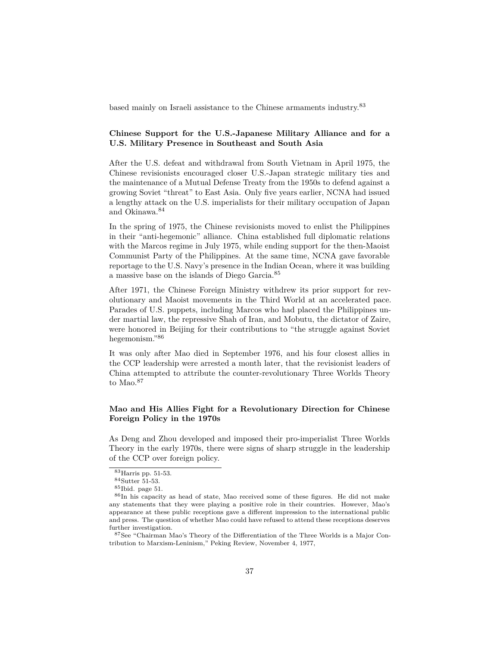based mainly on Israeli assistance to the Chinese armaments industry.[83](#page-36-0)

## **Chinese Support for the U.S.-Japanese Military Alliance and for a U.S. Military Presence in Southeast and South Asia**

After the U.S. defeat and withdrawal from South Vietnam in April 1975, the Chinese revisionists encouraged closer U.S.-Japan strategic military ties and the maintenance of a Mutual Defense Treaty from the 1950s to defend against a growing Soviet "threat" to East Asia. Only five years earlier, NCNA had issued a lengthy attack on the U.S. imperialists for their military occupation of Japan and Okinawa.[84](#page-36-1)

In the spring of 1975, the Chinese revisionists moved to enlist the Philippines in their "anti-hegemonic" alliance. China established full diplomatic relations with the Marcos regime in July 1975, while ending support for the then-Maoist Communist Party of the Philippines. At the same time, NCNA gave favorable reportage to the U.S. Navy's presence in the Indian Ocean, where it was building a massive base on the islands of Diego Garcia.[85](#page-36-2)

After 1971, the Chinese Foreign Ministry withdrew its prior support for revolutionary and Maoist movements in the Third World at an accelerated pace. Parades of U.S. puppets, including Marcos who had placed the Philippines under martial law, the repressive Shah of Iran, and Mobutu, the dictator of Zaire, were honored in Beijing for their contributions to "the struggle against Soviet hegemonism."[86](#page-36-3)

It was only after Mao died in September 1976, and his four closest allies in the CCP leadership were arrested a month later, that the revisionist leaders of China attempted to attribute the counter-revolutionary Three Worlds Theory to Mao.<sup>[87](#page-36-4)</sup>

# **Mao and His Allies Fight for a Revolutionary Direction for Chinese Foreign Policy in the 1970s**

As Deng and Zhou developed and imposed their pro-imperialist Three Worlds Theory in the early 1970s, there were signs of sharp struggle in the leadership of the CCP over foreign policy.

<span id="page-36-0"></span><sup>83</sup>Harris pp. 51-53.

<span id="page-36-1"></span><sup>84</sup>Sutter 51-53.

<span id="page-36-3"></span><span id="page-36-2"></span> $^{85}\rm Ibid.$  page 51.

<sup>86</sup>In his capacity as head of state, Mao received some of these figures. He did not make any statements that they were playing a positive role in their countries. However, Mao's appearance at these public receptions gave a different impression to the international public and press. The question of whether Mao could have refused to attend these receptions deserves further investigation.

<span id="page-36-4"></span><sup>87</sup>See "Chairman Mao's Theory of the Differentiation of the Three Worlds is a Major Contribution to Marxism-Leninism," Peking Review, November 4, 1977,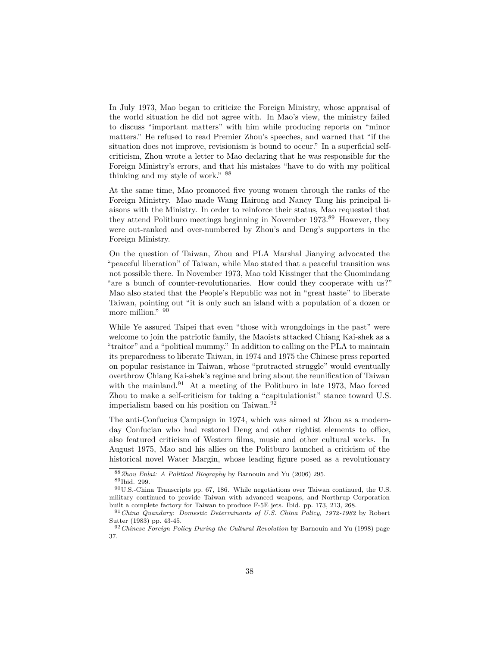In July 1973, Mao began to criticize the Foreign Ministry, whose appraisal of the world situation he did not agree with. In Mao's view, the ministry failed to discuss "important matters" with him while producing reports on "minor matters." He refused to read Premier Zhou's speeches, and warned that "if the situation does not improve, revisionism is bound to occur." In a superficial selfcriticism, Zhou wrote a letter to Mao declaring that he was responsible for the Foreign Ministry's errors, and that his mistakes "have to do with my political thinking and my style of work." [88](#page-37-0)

At the same time, Mao promoted five young women through the ranks of the Foreign Ministry. Mao made Wang Hairong and Nancy Tang his principal liaisons with the Ministry. In order to reinforce their status, Mao requested that they attend Politburo meetings beginning in November 1973.[89](#page-37-1) However, they were out-ranked and over-numbered by Zhou's and Deng's supporters in the Foreign Ministry.

On the question of Taiwan, Zhou and PLA Marshal Jianying advocated the "peaceful liberation" of Taiwan, while Mao stated that a peaceful transition was not possible there. In November 1973, Mao told Kissinger that the Guomindang "are a bunch of counter-revolutionaries. How could they cooperate with us?" Mao also stated that the People's Republic was not in "great haste" to liberate Taiwan, pointing out "it is only such an island with a population of a dozen or more million." [90](#page-37-2)

While Ye assured Taipei that even "those with wrongdoings in the past" were welcome to join the patriotic family, the Maoists attacked Chiang Kai-shek as a "traitor" and a "political mummy." In addition to calling on the PLA to maintain its preparedness to liberate Taiwan, in 1974 and 1975 the Chinese press reported on popular resistance in Taiwan, whose "protracted struggle" would eventually overthrow Chiang Kai-shek's regime and bring about the reunification of Taiwan with the mainland. $91$  At a meeting of the Politburo in late 1973, Mao forced Zhou to make a self-criticism for taking a "capitulationist" stance toward U.S. imperialism based on his position on Taiwan.<sup>[92](#page-37-4)</sup>

The anti-Confucius Campaign in 1974, which was aimed at Zhou as a modernday Confucian who had restored Deng and other rightist elements to office, also featured criticism of Western films, music and other cultural works. In August 1975, Mao and his allies on the Politburo launched a criticism of the historical novel Water Margin, whose leading figure posed as a revolutionary

<span id="page-37-0"></span><sup>88</sup>*Zhou Enlai: A Political Biography* by Barnouin and Yu (2006) 295.

<span id="page-37-2"></span><span id="page-37-1"></span><sup>89</sup>Ibid. 299.

<sup>90</sup>U.S.-China Transcripts pp. 67, 186. While negotiations over Taiwan continued, the U.S. military continued to provide Taiwan with advanced weapons, and Northrup Corporation built a complete factory for Taiwan to produce F-5E jets. Ibid. pp. 173, 213, 268.

<span id="page-37-3"></span><sup>91</sup>*China Quandary: Domestic Determinants of U.S. China Policy, 1972-1982* by Robert Sutter (1983) pp. 43-45.

<span id="page-37-4"></span><sup>92</sup>*Chinese Foreign Policy During the Cultural Revolution* by Barnouin and Yu (1998) page 37.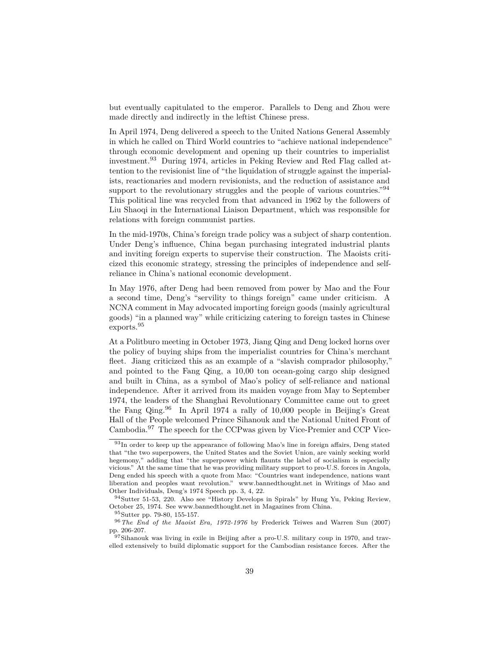but eventually capitulated to the emperor. Parallels to Deng and Zhou were made directly and indirectly in the leftist Chinese press.

In April 1974, Deng delivered a speech to the United Nations General Assembly in which he called on Third World countries to "achieve national independence" through economic development and opening up their countries to imperialist investment.[93](#page-38-0) During 1974, articles in Peking Review and Red Flag called attention to the revisionist line of "the liquidation of struggle against the imperialists, reactionaries and modern revisionists, and the reduction of assistance and support to the revolutionary struggles and the people of various countries."<sup>[94](#page-38-1)</sup> This political line was recycled from that advanced in 1962 by the followers of Liu Shaoqi in the International Liaison Department, which was responsible for relations with foreign communist parties.

In the mid-1970s, China's foreign trade policy was a subject of sharp contention. Under Deng's influence, China began purchasing integrated industrial plants and inviting foreign experts to supervise their construction. The Maoists criticized this economic strategy, stressing the principles of independence and selfreliance in China's national economic development.

In May 1976, after Deng had been removed from power by Mao and the Four a second time, Deng's "servility to things foreign" came under criticism. A NCNA comment in May advocated importing foreign goods (mainly agricultural goods) "in a planned way" while criticizing catering to foreign tastes in Chinese exports.[95](#page-38-2)

At a Politburo meeting in October 1973, Jiang Qing and Deng locked horns over the policy of buying ships from the imperialist countries for China's merchant fleet. Jiang criticized this as an example of a "slavish comprador philosophy," and pointed to the Fang Qing, a 10,00 ton ocean-going cargo ship designed and built in China, as a symbol of Mao's policy of self-reliance and national independence. After it arrived from its maiden voyage from May to September 1974, the leaders of the Shanghai Revolutionary Committee came out to greet the Fang Qing.[96](#page-38-3) In April 1974 a rally of 10,000 people in Beijing's Great Hall of the People welcomed Prince Sihanouk and the National United Front of Cambodia.[97](#page-38-4) The speech for the CCPwas given by Vice-Premier and CCP Vice-

<span id="page-38-3"></span><span id="page-38-2"></span><sup>95</sup>Sutter pp. 79-80, 155-157.

<span id="page-38-0"></span> $93$ In order to keep up the appearance of following Mao's line in foreign affairs, Deng stated that "the two superpowers, the United States and the Soviet Union, are vainly seeking world hegemony," adding that "the superpower which flaunts the label of socialism is especially vicious." At the same time that he was providing military support to pro-U.S. forces in Angola, Deng ended his speech with a quote from Mao: "Countries want independence, nations want liberation and peoples want revolution." www.bannedthought.net in Writings of Mao and Other Individuals, Deng's 1974 Speech pp. 3, 4, 22.

<span id="page-38-1"></span><sup>94</sup>Sutter 51-53, 220. Also see "History Develops in Spirals" by Hung Yu, Peking Review, October 25, 1974. See www.bannedthought.net in Magazines from China.

<sup>96</sup>*The End of the Maoist Era, 1972-1976* by Frederick Teiwes and Warren Sun (2007) pp. 206-207.

<span id="page-38-4"></span><sup>&</sup>lt;sup>97</sup>Sihanouk was living in exile in Beijing after a pro-U.S. military coup in 1970, and travelled extensively to build diplomatic support for the Cambodian resistance forces. After the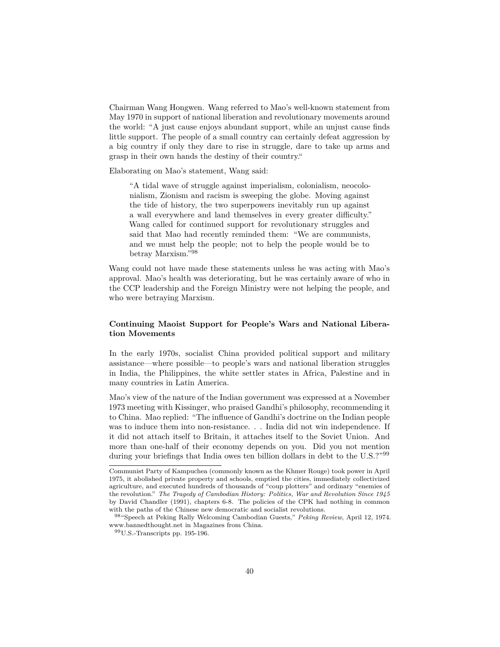Chairman Wang Hongwen. Wang referred to Mao's well-known statement from May 1970 in support of national liberation and revolutionary movements around the world: "A just cause enjoys abundant support, while an unjust cause finds little support. The people of a small country can certainly defeat aggression by a big country if only they dare to rise in struggle, dare to take up arms and grasp in their own hands the destiny of their country."

Elaborating on Mao's statement, Wang said:

"A tidal wave of struggle against imperialism, colonialism, neocolonialism, Zionism and racism is sweeping the globe. Moving against the tide of history, the two superpowers inevitably run up against a wall everywhere and land themselves in every greater difficulty." Wang called for continued support for revolutionary struggles and said that Mao had recently reminded them: "We are communists, and we must help the people; not to help the people would be to betray Marxism."[98](#page-39-0)

Wang could not have made these statements unless he was acting with Mao's approval. Mao's health was deteriorating, but he was certainly aware of who in the CCP leadership and the Foreign Ministry were not helping the people, and who were betraying Marxism.

# **Continuing Maoist Support for People's Wars and National Liberation Movements**

In the early 1970s, socialist China provided political support and military assistance—where possible—to people's wars and national liberation struggles in India, the Philippines, the white settler states in Africa, Palestine and in many countries in Latin America.

Mao's view of the nature of the Indian government was expressed at a November 1973 meeting with Kissinger, who praised Gandhi's philosophy, recommending it to China. Mao replied: "The influence of Gandhi's doctrine on the Indian people was to induce them into non-resistance. . . India did not win independence. If it did not attach itself to Britain, it attaches itself to the Soviet Union. And more than one-half of their economy depends on you. Did you not mention during your briefings that India owes ten billion dollars in debt to the U.S.?"<sup>[99](#page-39-1)</sup>

Communist Party of Kampuchea (commonly known as the Khmer Rouge) took power in April 1975, it abolished private property and schools, emptied the cities, immediately collectivized agriculture, and executed hundreds of thousands of "coup plotters" and ordinary "enemies of the revolution." *The Tragedy of Cambodian History: Politics, War and Revolution Since 1945* by David Chandler (1991), chapters 6-8. The policies of the CPK had nothing in common with the paths of the Chinese new democratic and socialist revolutions.

<span id="page-39-0"></span><sup>98</sup>"Speech at Peking Rally Welcoming Cambodian Guests," *Peking Review*, April 12, 1974. www.bannedthought.net in Magazines from China.

<span id="page-39-1"></span> $99U.S.$ -Transcripts pp. 195-196.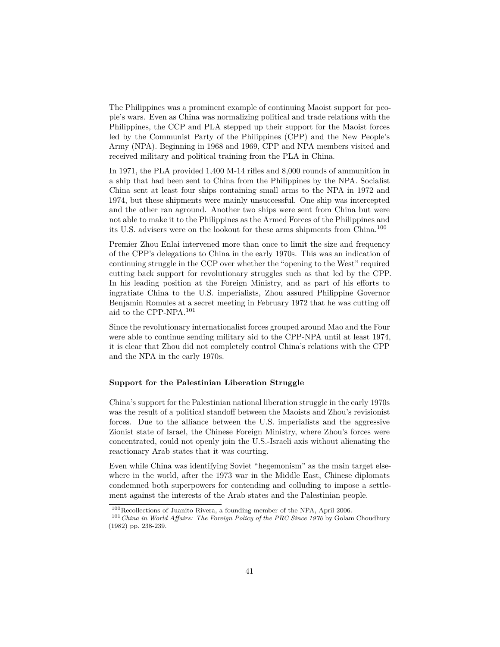The Philippines was a prominent example of continuing Maoist support for people's wars. Even as China was normalizing political and trade relations with the Philippines, the CCP and PLA stepped up their support for the Maoist forces led by the Communist Party of the Philippines (CPP) and the New People's Army (NPA). Beginning in 1968 and 1969, CPP and NPA members visited and received military and political training from the PLA in China.

In 1971, the PLA provided 1,400 M-14 rifles and 8,000 rounds of ammunition in a ship that had been sent to China from the Philippines by the NPA. Socialist China sent at least four ships containing small arms to the NPA in 1972 and 1974, but these shipments were mainly unsuccessful. One ship was intercepted and the other ran aground. Another two ships were sent from China but were not able to make it to the Philippines as the Armed Forces of the Philippines and its U.S. advisers were on the lookout for these arms shipments from China.[100](#page-40-0)

Premier Zhou Enlai intervened more than once to limit the size and frequency of the CPP's delegations to China in the early 1970s. This was an indication of continuing struggle in the CCP over whether the "opening to the West" required cutting back support for revolutionary struggles such as that led by the CPP. In his leading position at the Foreign Ministry, and as part of his efforts to ingratiate China to the U.S. imperialists, Zhou assured Philippine Governor Benjamin Romules at a secret meeting in February 1972 that he was cutting off aid to the CPP-NPA.[101](#page-40-1)

Since the revolutionary internationalist forces grouped around Mao and the Four were able to continue sending military aid to the CPP-NPA until at least 1974, it is clear that Zhou did not completely control China's relations with the CPP and the NPA in the early 1970s.

#### **Support for the Palestinian Liberation Struggle**

China's support for the Palestinian national liberation struggle in the early 1970s was the result of a political standoff between the Maoists and Zhou's revisionist forces. Due to the alliance between the U.S. imperialists and the aggressive Zionist state of Israel, the Chinese Foreign Ministry, where Zhou's forces were concentrated, could not openly join the U.S.-Israeli axis without alienating the reactionary Arab states that it was courting.

Even while China was identifying Soviet "hegemonism" as the main target elsewhere in the world, after the 1973 war in the Middle East, Chinese diplomats condemned both superpowers for contending and colluding to impose a settlement against the interests of the Arab states and the Palestinian people.

<span id="page-40-1"></span><span id="page-40-0"></span><sup>100</sup>Recollections of Juanito Rivera, a founding member of the NPA, April 2006.

<sup>101</sup>*China in World Affairs: The Foreign Policy of the PRC Since 1970* by Golam Choudhury (1982) pp. 238-239.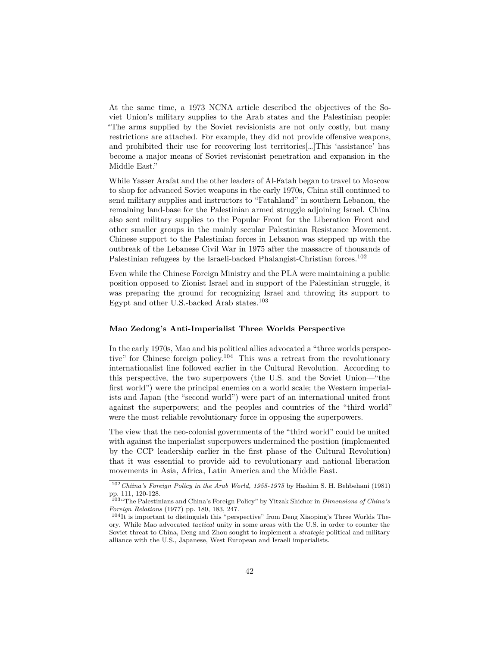At the same time, a 1973 NCNA article described the objectives of the Soviet Union's military supplies to the Arab states and the Palestinian people: "The arms supplied by the Soviet revisionists are not only costly, but many restrictions are attached. For example, they did not provide offensive weapons, and prohibited their use for recovering lost territories[…]This 'assistance' has become a major means of Soviet revisionist penetration and expansion in the Middle East."

While Yasser Arafat and the other leaders of Al-Fatah began to travel to Moscow to shop for advanced Soviet weapons in the early 1970s, China still continued to send military supplies and instructors to "Fatahland" in southern Lebanon, the remaining land-base for the Palestinian armed struggle adjoining Israel. China also sent military supplies to the Popular Front for the Liberation Front and other smaller groups in the mainly secular Palestinian Resistance Movement. Chinese support to the Palestinian forces in Lebanon was stepped up with the outbreak of the Lebanese Civil War in 1975 after the massacre of thousands of Palestinian refugees by the Israeli-backed Phalangist-Christian forces.<sup>[102](#page-41-0)</sup>

Even while the Chinese Foreign Ministry and the PLA were maintaining a public position opposed to Zionist Israel and in support of the Palestinian struggle, it was preparing the ground for recognizing Israel and throwing its support to Egypt and other U.S.-backed Arab states.[103](#page-41-1)

#### **Mao Zedong's Anti-Imperialist Three Worlds Perspective**

In the early 1970s, Mao and his political allies advocated a "three worlds perspec-tive" for Chinese foreign policy.<sup>[104](#page-41-2)</sup> This was a retreat from the revolutionary internationalist line followed earlier in the Cultural Revolution. According to this perspective, the two superpowers (the U.S. and the Soviet Union—"the first world") were the principal enemies on a world scale; the Western imperialists and Japan (the "second world") were part of an international united front against the superpowers; and the peoples and countries of the "third world" were the most reliable revolutionary force in opposing the superpowers.

The view that the neo-colonial governments of the "third world" could be united with against the imperialist superpowers undermined the position (implemented by the CCP leadership earlier in the first phase of the Cultural Revolution) that it was essential to provide aid to revolutionary and national liberation movements in Asia, Africa, Latin America and the Middle East.

<span id="page-41-0"></span><sup>102</sup>*Chiina's Foreign Policy in the Arab World, 1955-1975* by Hashim S. H. Behbehani (1981) pp. 111, 120-128.

<span id="page-41-1"></span><sup>103</sup>"The Palestinians and China's Foreign Policy" by Yitzak Shichor in *Dimensions of China's Foreign Relations* (1977) pp. 180, 183, 247.

<span id="page-41-2"></span> $104$ It is important to distinguish this "perspective" from Deng Xiaoping's Three Worlds Theory. While Mao advocated *tactical* unity in some areas with the U.S. in order to counter the Soviet threat to China, Deng and Zhou sought to implement a *strategic* political and military alliance with the U.S., Japanese, West European and Israeli imperialists.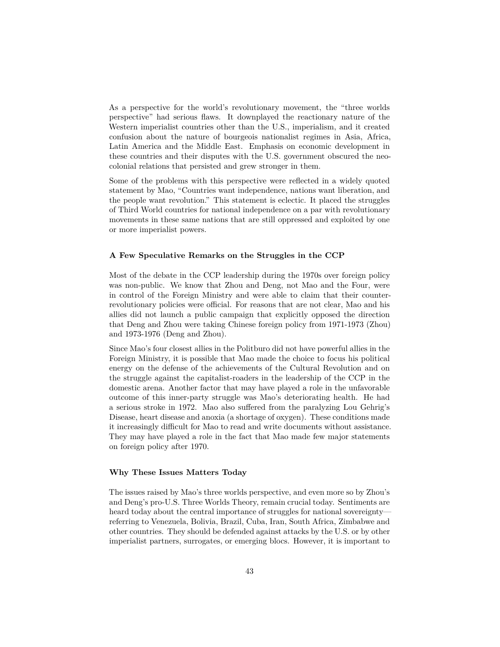As a perspective for the world's revolutionary movement, the "three worlds perspective" had serious flaws. It downplayed the reactionary nature of the Western imperialist countries other than the U.S., imperialism, and it created confusion about the nature of bourgeois nationalist regimes in Asia, Africa, Latin America and the Middle East. Emphasis on economic development in these countries and their disputes with the U.S. government obscured the neocolonial relations that persisted and grew stronger in them.

Some of the problems with this perspective were reflected in a widely quoted statement by Mao, "Countries want independence, nations want liberation, and the people want revolution." This statement is eclectic. It placed the struggles of Third World countries for national independence on a par with revolutionary movements in these same nations that are still oppressed and exploited by one or more imperialist powers.

# **A Few Speculative Remarks on the Struggles in the CCP**

Most of the debate in the CCP leadership during the 1970s over foreign policy was non-public. We know that Zhou and Deng, not Mao and the Four, were in control of the Foreign Ministry and were able to claim that their counterrevolutionary policies were official. For reasons that are not clear, Mao and his allies did not launch a public campaign that explicitly opposed the direction that Deng and Zhou were taking Chinese foreign policy from 1971-1973 (Zhou) and 1973-1976 (Deng and Zhou).

Since Mao's four closest allies in the Politburo did not have powerful allies in the Foreign Ministry, it is possible that Mao made the choice to focus his political energy on the defense of the achievements of the Cultural Revolution and on the struggle against the capitalist-roaders in the leadership of the CCP in the domestic arena. Another factor that may have played a role in the unfavorable outcome of this inner-party struggle was Mao's deteriorating health. He had a serious stroke in 1972. Mao also suffered from the paralyzing Lou Gehrig's Disease, heart disease and anoxia (a shortage of oxygen). These conditions made it increasingly difficult for Mao to read and write documents without assistance. They may have played a role in the fact that Mao made few major statements on foreign policy after 1970.

#### **Why These Issues Matters Today**

The issues raised by Mao's three worlds perspective, and even more so by Zhou's and Deng's pro-U.S. Three Worlds Theory, remain crucial today. Sentiments are heard today about the central importance of struggles for national sovereignty referring to Venezuela, Bolivia, Brazil, Cuba, Iran, South Africa, Zimbabwe and other countries. They should be defended against attacks by the U.S. or by other imperialist partners, surrogates, or emerging blocs. However, it is important to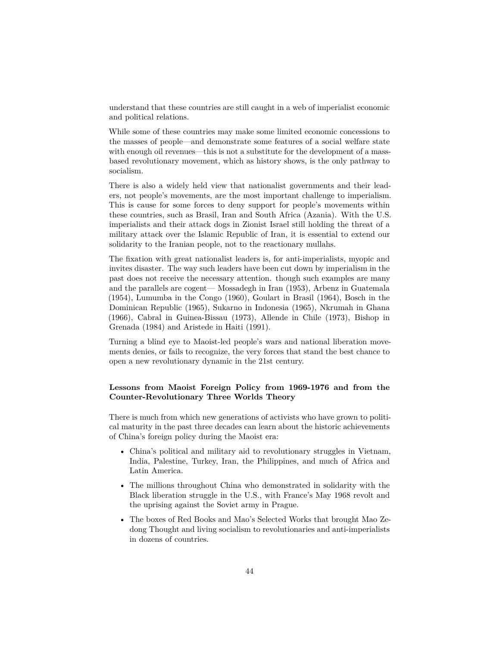understand that these countries are still caught in a web of imperialist economic and political relations.

While some of these countries may make some limited economic concessions to the masses of people—and demonstrate some features of a social welfare state with enough oil revenues—this is not a substitute for the development of a massbased revolutionary movement, which as history shows, is the only pathway to socialism.

There is also a widely held view that nationalist governments and their leaders, not people's movements, are the most important challenge to imperialism. This is cause for some forces to deny support for people's movements within these countries, such as Brasil, Iran and South Africa (Azania). With the U.S. imperialists and their attack dogs in Zionist Israel still holding the threat of a military attack over the Islamic Republic of Iran, it is essential to extend our solidarity to the Iranian people, not to the reactionary mullahs.

The fixation with great nationalist leaders is, for anti-imperialists, myopic and invites disaster. The way such leaders have been cut down by imperialism in the past does not receive the necessary attention. though such examples are many and the parallels are cogent— Mossadegh in Iran (1953), Arbenz in Guatemala (1954), Lumumba in the Congo (1960), Goulart in Brasil (1964), Bosch in the Dominican Republic (1965), Sukarno in Indonesia (1965), Nkrumah in Ghana (1966), Cabral in Guinea-Bissau (1973), Allende in Chile (1973), Bishop in Grenada (1984) and Aristede in Haiti (1991).

Turning a blind eye to Maoist-led people's wars and national liberation movements denies, or fails to recognize, the very forces that stand the best chance to open a new revolutionary dynamic in the 21st century.

# **Lessons from Maoist Foreign Policy from 1969-1976 and from the Counter-Revolutionary Three Worlds Theory**

There is much from which new generations of activists who have grown to political maturity in the past three decades can learn about the historic achievements of China's foreign policy during the Maoist era:

- China's political and military aid to revolutionary struggles in Vietnam, India, Palestine, Turkey, Iran, the Philippines, and much of Africa and Latin America.
- The millions throughout China who demonstrated in solidarity with the Black liberation struggle in the U.S., with France's May 1968 revolt and the uprising against the Soviet army in Prague.
- The boxes of Red Books and Mao's Selected Works that brought Mao Zedong Thought and living socialism to revolutionaries and anti-imperialists in dozens of countries.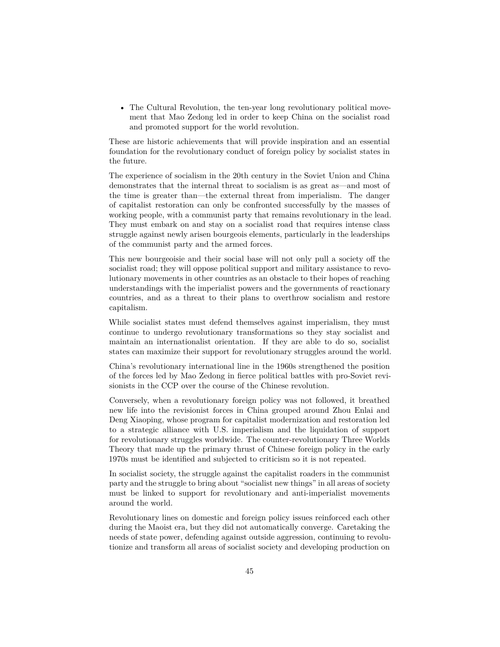• The Cultural Revolution, the ten-year long revolutionary political movement that Mao Zedong led in order to keep China on the socialist road and promoted support for the world revolution.

These are historic achievements that will provide inspiration and an essential foundation for the revolutionary conduct of foreign policy by socialist states in the future.

The experience of socialism in the 20th century in the Soviet Union and China demonstrates that the internal threat to socialism is as great as—and most of the time is greater than—the external threat from imperialism. The danger of capitalist restoration can only be confronted successfully by the masses of working people, with a communist party that remains revolutionary in the lead. They must embark on and stay on a socialist road that requires intense class struggle against newly arisen bourgeois elements, particularly in the leaderships of the communist party and the armed forces.

This new bourgeoisie and their social base will not only pull a society off the socialist road; they will oppose political support and military assistance to revolutionary movements in other countries as an obstacle to their hopes of reaching understandings with the imperialist powers and the governments of reactionary countries, and as a threat to their plans to overthrow socialism and restore capitalism.

While socialist states must defend themselves against imperialism, they must continue to undergo revolutionary transformations so they stay socialist and maintain an internationalist orientation. If they are able to do so, socialist states can maximize their support for revolutionary struggles around the world.

China's revolutionary international line in the 1960s strengthened the position of the forces led by Mao Zedong in fierce political battles with pro-Soviet revisionists in the CCP over the course of the Chinese revolution.

Conversely, when a revolutionary foreign policy was not followed, it breathed new life into the revisionist forces in China grouped around Zhou Enlai and Deng Xiaoping, whose program for capitalist modernization and restoration led to a strategic alliance with U.S. imperialism and the liquidation of support for revolutionary struggles worldwide. The counter-revolutionary Three Worlds Theory that made up the primary thrust of Chinese foreign policy in the early 1970s must be identified and subjected to criticism so it is not repeated.

In socialist society, the struggle against the capitalist roaders in the communist party and the struggle to bring about "socialist new things" in all areas of society must be linked to support for revolutionary and anti-imperialist movements around the world.

Revolutionary lines on domestic and foreign policy issues reinforced each other during the Maoist era, but they did not automatically converge. Caretaking the needs of state power, defending against outside aggression, continuing to revolutionize and transform all areas of socialist society and developing production on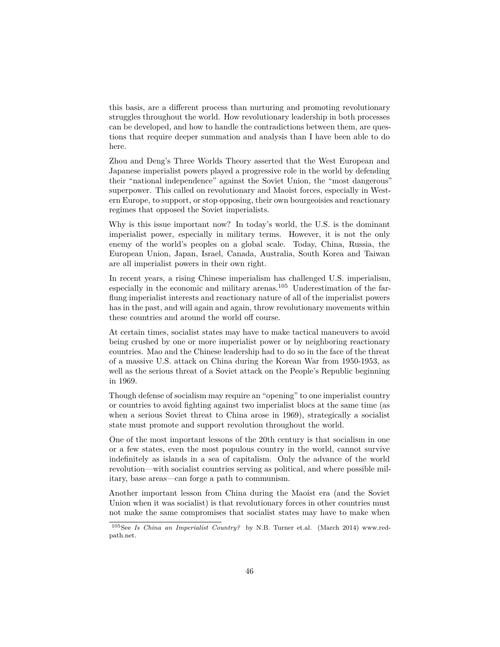this basis, are a different process than nurturing and promoting revolutionary struggles throughout the world. How revolutionary leadership in both processes can be developed, and how to handle the contradictions between them, are questions that require deeper summation and analysis than I have been able to do here.

Zhou and Deng's Three Worlds Theory asserted that the West European and Japanese imperialist powers played a progressive role in the world by defending their "national independence" against the Soviet Union, the "most dangerous" superpower. This called on revolutionary and Maoist forces, especially in Western Europe, to support, or stop opposing, their own bourgeoisies and reactionary regimes that opposed the Soviet imperialists.

Why is this issue important now? In today's world, the U.S. is the dominant imperialist power, especially in military terms. However, it is not the only enemy of the world's peoples on a global scale. Today, China, Russia, the European Union, Japan, Israel, Canada, Australia, South Korea and Taiwan are all imperialist powers in their own right.

In recent years, a rising Chinese imperialism has challenged U.S. imperialism, especially in the economic and military arenas.[105](#page-45-0) Underestimation of the farflung imperialist interests and reactionary nature of all of the imperialist powers has in the past, and will again and again, throw revolutionary movements within these countries and around the world off course.

At certain times, socialist states may have to make tactical maneuvers to avoid being crushed by one or more imperialist power or by neighboring reactionary countries. Mao and the Chinese leadership had to do so in the face of the threat of a massive U.S. attack on China during the Korean War from 1950-1953, as well as the serious threat of a Soviet attack on the People's Republic beginning in 1969.

Though defense of socialism may require an "opening" to one imperialist country or countries to avoid fighting against two imperialist blocs at the same time (as when a serious Soviet threat to China arose in 1969), strategically a socialist state must promote and support revolution throughout the world.

One of the most important lessons of the 20th century is that socialism in one or a few states, even the most populous country in the world, cannot survive indefinitely as islands in a sea of capitalism. Only the advance of the world revolution—with socialist countries serving as political, and where possible military, base areas—can forge a path to communism.

Another important lesson from China during the Maoist era (and the Soviet Union when it was socialist) is that revolutionary forces in other countries must not make the same compromises that socialist states may have to make when

<span id="page-45-0"></span><sup>105</sup>See *Is China an Imperialist Country?* by N.B. Turner et.al. (March 2014) www.redpath.net.